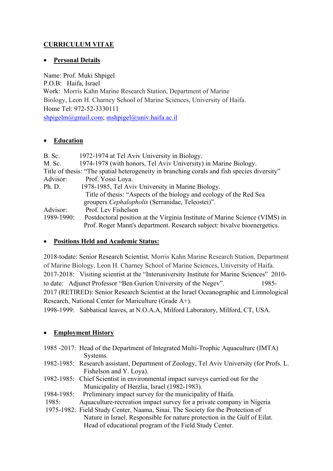## **CURRICULUM VITAE**

## • **Personal Details**

Name: Prof. Muki Shpigel P.O.B: Haifa, Israel Work: Morris Kahn Marine Research Station, Department of Marine Biology, Leon H. Charney School of Marine Sciences, University of Haifa. Home Tel: 972-52-3330111 [shpigelm@gmail.com;](mailto:shpigelm@gmail.com) [mshpigel@univ.haifa.ac.il](mailto:mshpigel@univ.haifa.ac.il)

## • **Education**

| B. Sc.     | 1972-1974 at Tel Aviv University in Biology.                                                |
|------------|---------------------------------------------------------------------------------------------|
| M. Sc.     | 1974-1978 (with honors, Tel Aviv University) in Marine Biology.                             |
|            | Title of thesis: "The spatial heterogeneity in branching corals and fish species diversity" |
| Advisor:   | Prof. Yossi Loya.                                                                           |
| Ph. D.     | 1978-1985, Tel Aviv University in Marine Biology.                                           |
|            | Title of thesis: "Aspects of the biology and ecology of the Red Sea                         |
|            | groupers Cephalopholis (Serranidae, Teleostei)".                                            |
| Advisor:   | Prof. Lev Fishelson                                                                         |
| 1989-1990: | Postdoctoral position at the Virginia Institute of Marine Science (VIMS) in                 |
|            | Prof. Roger Mann's department. Research subject: bivalve bioenergetics.                     |

## • **Positions Held and Academic Status:**

2018-todate: Senior Research Scientist. Morris Kahn Marine Research Station, Department of Marine Biology, Leon H. Charney School of Marine Sciences, University of Haifa. 2017-2018: Visiting scientist at the "Interuniversity Institute for Marine Sciences" 2010 to date: Adjunct Professor "Ben Gurion University of the Negev". 1985-2017 (RETIRED): Senior Research Scientist at the Israel Oceanographic and Limnological Research, National Center for Mariculture (Grade A+).

1998-1999: Sabbatical leaves, at N.O.A.A, Milford Laboratory, Milford, CT, USA.

## • **Employment History**

- 1985 -2017: Head of the Department of Integrated Multi-Trophic Aquaculture (IMTA) Systems.
- 1982-1985: Research assistant, Department of Zoology, Tel Aviv University (for Profs. L. Fishelson and Y. Loya).
- 1982-1985: Chief Scientist in environmental impact surveys carried out for the Municipality of Herzlia, Israel (1982-1983).
- 1984-1985: Preliminary impact survey for the municipality of Haifa.
- 1985: Aquaculture-recreation impact survey for a private company in Nigeria
- 1975-1982: Field Study Center, Naama, Sinai. The Society for the Protection of Nature in Israel. Responsible for nature protection in the Gulf of Eilat. Head of educational program of the Field Study Center.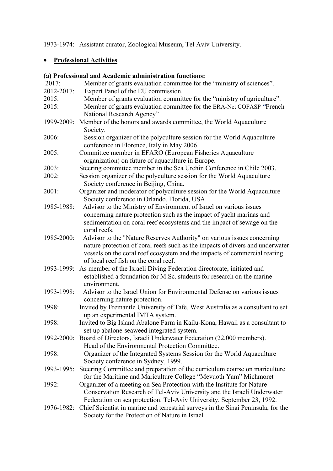1973-1974: Assistant curator, Zoological Museum, Tel Aviv University.

# • **Professional Activities**

## **(a) Professional and Academic administration functions:**

| 2017:      | Member of grants evaluation committee for the "ministry of sciences".             |
|------------|-----------------------------------------------------------------------------------|
| 2012-2017: | Expert Panel of the EU commission.                                                |
| 2015:      | Member of grants evaluation committee for the "ministry of agriculture".          |
| 2015:      | Member of grants evaluation committee for the ERA-Net COFASP "French              |
|            | National Research Agency"                                                         |
| 1999-2009: | Member of the honors and awards committee, the World Aquaculture                  |
|            | Society.                                                                          |
| 2006:      | Session organizer of the polyculture session for the World Aquaculture            |
|            | conference in Florence, Italy in May 2006.                                        |
| 2005:      | Committee member in EFARO (European Fisheries Aquaculture                         |
|            | organization) on future of aquaculture in Europe.                                 |
| 2003:      | Steering committee member in the Sea Urchin Conference in Chile 2003.             |
| 2002:      | Session organizer of the polyculture session for the World Aquaculture            |
|            | Society conference in Beijing, China.                                             |
| 2001:      | Organizer and moderator of polyculture session for the World Aquaculture          |
|            | Society conference in Orlando, Florida, USA.                                      |
| 1985-1988: | Advisor to the Ministry of Environment of Israel on various issues                |
|            | concerning nature protection such as the impact of yacht marinas and              |
|            | sedimentation on coral reef ecosystems and the impact of sewage on the            |
|            | coral reefs.                                                                      |
| 1985-2000: | Advisor to the "Nature Reserves Authority" on various issues concerning           |
|            | nature protection of coral reefs such as the impacts of divers and underwater     |
|            | vessels on the coral reef ecosystem and the impacts of commercial rearing         |
|            | of local reef fish on the coral reef.                                             |
| 1993-1999: | As member of the Israeli Diving Federation directorate, initiated and             |
|            | established a foundation for M.Sc. students for research on the marine            |
|            | environment.                                                                      |
| 1993-1998: | Advisor to the Israel Union for Environmental Defense on various issues           |
|            | concerning nature protection.                                                     |
| 1998:      | Invited by Fremantle University of Tafe, West Australia as a consultant to set    |
|            | up an experimental IMTA system.                                                   |
| 1998:      | Invited to Big Island Abalone Farm in Kailu-Kona, Hawaii as a consultant to       |
|            | set up abalone-seaweed integrated system.                                         |
| 1992-2000: | Board of Directors, Israeli Underwater Federation (22,000 members).               |
|            | Head of the Environmental Protection Committee.                                   |
| 1998:      | Organizer of the Integrated Systems Session for the World Aquaculture             |
|            | Society conference in Sydney, 1999.                                               |
| 1993-1995: | Steering Committee and preparation of the curriculum course on mariculture        |
|            | for the Maritime and Mariculture College "Mevuoth Yam" Michmoret                  |
| 1992:      | Organizer of a meeting on Sea Protection with the Institute for Nature            |
|            | Conservation Research of Tel-Aviv University and the Israeli Underwater           |
|            | Federation on sea protection. Tel-Aviv University. September 23, 1992.            |
| 1976-1982: | Chief Scientist in marine and terrestrial surveys in the Sinai Peninsula, for the |
|            | Society for the Protection of Nature in Israel.                                   |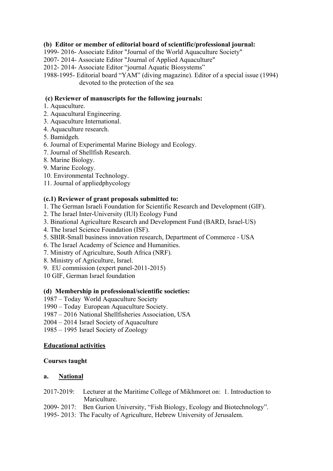## **(b) Editor or member of editorial board of scientific/professional journal:**

1999- 2016- Associate Editor "Journal of the World Aquaculture Society"

2007- 2014- Associate Editor "Journal of Applied Aquaculture"

2012- 2014- Associate Editor "journal Aquatic Biosystems"

1988-1995- Editorial board "YAM" (diving magazine). Editor of a special issue (1994) devoted to the protection of the sea

## **(c) Reviewer of manuscripts for the following journals:**

### 1. Aquaculture.

- 2. Aquacultural Engineering.
- 3. Aquaculture International.
- 4. Aquaculture research.
- 5. Bamidgeh.
- 6. Journal of Experimental Marine Biology and Ecology.
- 7. Journal of Shellfish Research.
- 8. Marine Biology.
- 9. Marine Ecology.
- 10. Environmental Technology.
- 11. Journal of appliedphycology

### **(c.1) Reviewer of grant proposals submitted to:**

- 1. The German Israeli Foundation for Scientific Research and Development (GIF).
- 2. The Israel Inter-University (IUI) Ecology Fund
- 3. Binational Agriculture Research and Development Fund (BARD, Israel-US)
- 4. The Israel Science Foundation (ISF).
- 5. SBIR-Small business innovation research, Department of Commerce USA
- 6. The Israel Academy of Science and Humanities.
- 7. Ministry of Agriculture, South Africa (NRF).
- 8. Ministry of Agriculture, Israel.
- 9. EU commission (expert panel-2011-2015)
- 10 GIF, German Israel foundation

### **(d) Membership in professional/scientific societies:**

- 1987 Today World Aquaculture Society
- 1990 Today European Aquaculture Society.
- 1987 2016 National Shellfisheries Association, USA
- 2004 2014 Israel Society of Aquaculture
- 1985 1995 Israel Society of Zoology

## **Educational activities**

#### **Courses taught**

#### **a. National**

- 2017-2019: Lecturer at the Maritime College of Mikhmoret on: 1. Introduction to Mariculture.
- 2009- 2017: Ben Gurion University, "Fish Biology, Ecology and Biotechnology".
- 1995- 2013: The Faculty of Agriculture, Hebrew University of Jerusalem.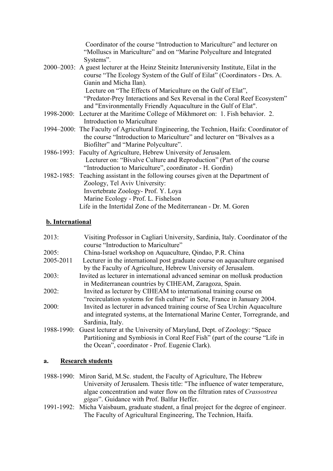| Coordinator of the course "Introduction to Mariculture" and lecturer on<br>"Molluscs in Mariculture" and on "Marine Polyculture and Integrated<br>Systems".        |
|--------------------------------------------------------------------------------------------------------------------------------------------------------------------|
| 2000–2003: A guest lecturer at the Heinz Steinitz Interuniversity Institute, Eilat in the                                                                          |
| course "The Ecology System of the Gulf of Eilat" (Coordinators - Drs. A.                                                                                           |
| Ganin and Micha Ilan).                                                                                                                                             |
| Lecture on "The Effects of Mariculture on the Gulf of Elat",                                                                                                       |
| "Predator-Prey Interactions and Sex Reversal in the Coral Reef Ecosystem"                                                                                          |
| and "Environmentally Friendly Aquaculture in the Gulf of Elat".                                                                                                    |
| 1998-2000: Lecturer at the Maritime College of Mikhmoret on: 1. Fish behavior. 2.                                                                                  |
| Introduction to Mariculture                                                                                                                                        |
| 1994–2000: The Faculty of Agricultural Engineering, the Technion, Haifa: Coordinator of<br>the course "Introduction to Mariculture" and lecturer on "Bivalves as a |
| Biofilter" and "Marine Polyculture".                                                                                                                               |
| 1986-1993: Faculty of Agriculture, Hebrew University of Jerusalem.                                                                                                 |
| Lecturer on: "Bivalve Culture and Reproduction" (Part of the course                                                                                                |
| "Introduction to Mariculture", coordinator - H. Gordin)                                                                                                            |
| 1982-1985: Teaching assistant in the following courses given at the Department of                                                                                  |
| Zoology, Tel Aviv University:                                                                                                                                      |
| Invertebrate Zoology- Prof. Y. Loya                                                                                                                                |
| Marine Ecology - Prof. L. Fishelson                                                                                                                                |
| Life in the Intertidal Zone of the Mediterranean - Dr. M. Goren                                                                                                    |
|                                                                                                                                                                    |

## **b. International**

| 2013:      | Visiting Professor in Cagliari University, Sardinia, Italy. Coordinator of the<br>course "Introduction to Mariculture" |
|------------|------------------------------------------------------------------------------------------------------------------------|
| 2005:      | China-Israel workshop on Aquaculture, Qindao, P.R. China                                                               |
| 2005-2011  | Lecturer in the international post graduate course on aquaculture organised                                            |
|            | by the Faculty of Agriculture, Hebrew University of Jerusalem.                                                         |
| 2003:      | Invited as lecturer in international advanced seminar on mollusk production                                            |
|            | in Mediterranean countries by CIHEAM, Zaragoza, Spain.                                                                 |
| 2002:      | Invited as lecturer by CIHEAM to international training course on                                                      |
|            | "recirculation systems for fish culture" in Sete, France in January 2004.                                              |
| 2000:      | Invited as lecturer in advanced training course of Sea Urchin Aquaculture                                              |
|            | and integrated systems, at the International Marine Center, Torregrande, and                                           |
|            | Sardinia, Italy.                                                                                                       |
| 1988-1990: | Guest lecturer at the University of Maryland, Dept. of Zoology: "Space                                                 |
|            | Partitioning and Symbiosis in Coral Reef Fish" (part of the course "Life in                                            |
|            | the Ocean", coordinator - Prof. Eugenie Clark).                                                                        |

#### **a. Research students**

1988-1990: Miron Sarid, M.Sc. student, the Faculty of Agriculture, The Hebrew University of Jerusalem. Thesis title: "The influence of water temperature, algae concentration and water flow on the filtration rates of *Crassostrea gigas*". Guidance with Prof. Balfur Heffer.

1991-1992: Micha Vaisbaum, graduate student, a final project for the degree of engineer. The Faculty of Agricultural Engineering, The Technion, Haifa.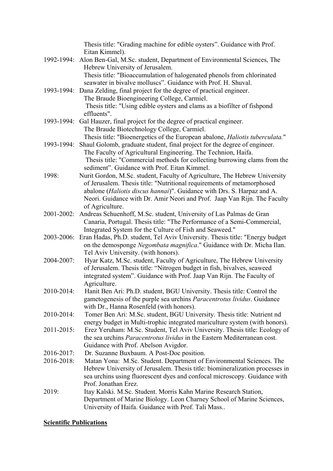|            | Thesis title: "Grading machine for edible oysters". Guidance with Prof.                           |
|------------|---------------------------------------------------------------------------------------------------|
|            | Eitan Kimmel).                                                                                    |
|            | 1992-1994: Alon Ben-Gal, M.Sc. student, Department of Environmental Sciences, The                 |
|            | Hebrew University of Jerusalem.                                                                   |
|            | Thesis title: "Bioaccumulation of halogenated phenols from chlorinated                            |
|            | seawater in bivalve molluscs". Guidance with Prof. H. Shuval.                                     |
|            | 1993-1994: Dana Zelding, final project for the degree of practical engineer.                      |
|            | The Braude Bioengineering College, Carmiel.                                                       |
|            | Thesis title: "Using edible oysters and clams as a biofilter of fishpond                          |
|            | effluents".                                                                                       |
| 1993-1994: | Gal Hauzer, final project for the degree of practical engineer.                                   |
|            | The Braude Biotechnology College, Carmiel.                                                        |
|            | Thesis title: "Bioenergetics of the European abalone, Haliotis tuberculata."                      |
| 1993-1994: | Shaul Golomb, graduate student, final project for the degree of engineer.                         |
|            | The Faculty of Agricultural Engineering. The Technion, Haifa.                                     |
|            | Thesis title: "Commercial methods for collecting burrowing clams from the                         |
|            | sediment". Guidance with Prof. Eitan Kimmel.                                                      |
| 1998:      | Nurit Gordon, M.Sc. student, Faculty of Agriculture, The Hebrew University                        |
|            | of Jerusalem. Thesis title: "Nutritional requirements of metamorphosed                            |
|            | abalone (Haliotis discus hannai)". Guidance with Drs. S. Harpaz and A.                            |
|            | Neori. Guidance with Dr. Amir Neori and Prof. Jaap Van Rijn. The Faculty                          |
|            | of Agriculture.                                                                                   |
|            | 2001-2002: Andreas Schuenhoff, M.Sc. student, University of Las Palmas de Gran                    |
|            | Canaria, Portugal. Thesis title: "The Performance of a Semi-Commercial,                           |
|            | Integrated System for the Culture of Fish and Seaweed."                                           |
| 2003-2006: | Eran Hadas, Ph.D. student, Tel Aviv University. Thesis title: "Energy budget                      |
|            | on the demosponge Negombata magnifica." Guidance with Dr. Micha Ilan.                             |
|            | Tel Aviv University. (with honors).                                                               |
| 2004-2007: | Hyar Katz, M.Sc. student, Faculty of Agriculture, The Hebrew University                           |
|            | of Jerusalem. Thesis title: "Nitrogen budget in fish, bivalves, seaweed                           |
|            | integrated system". Guidance with Prof. Jaap Van Rijn. The Faculty of                             |
|            | Agriculture.                                                                                      |
| 2010-2014: | Hanit Ben Ari: Ph.D. student, BGU University. Thesis title: Control the                           |
|            | gametogenesis of the purple sea urchins Paracentrotus lividus. Guidance                           |
|            | with Dr., Hanna Rosenfeld (with honors).                                                          |
| 2010-2014: | Tomer Ben Ari: M.Sc. student, BGU University. Thesis title: Nutrient nd                           |
|            | energy budget in Multi-trophic integrated mariculture system (with honors).                       |
| 2011-2015: | Erez Yeruham: M.Sc. Student, Tel Aviv University. Thesis title: Ecology of                        |
|            | the sea urchins <i>Paracentrotus lividus</i> in the Eastern Mediterranean cost.                   |
|            | Guidance with Prof. Abelson Avigdor.                                                              |
| 2016-2017: | Dr. Suzanne Buxbaum. A Post-Doc position.                                                         |
| 2016-2018: | Matan Yona: M.Sc. Student. Department of Environmental Sciences. The                              |
|            | Hebrew University of Jerusalem. Thesis title: biomineralization processes in                      |
|            | sea urchins using fluorescent dyes and confocal microscopy. Guidance with<br>Prof. Jonathan Erez. |
| 2019:      | Itay Kalski. M.Sc. Student. Morris Kahn Marine Research Station,                                  |
|            | Department of Marine Biology. Leon Charney School of Marine Sciences,                             |
|            | University of Haifa. Guidance with Prof. Tali Mass                                                |
|            |                                                                                                   |

#### **Scientific Publications**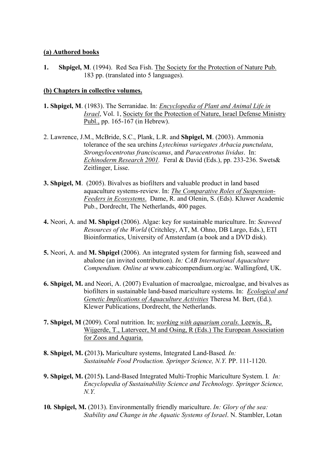#### **(a) Authored books**

**1. Shpigel, M**. (1994). Red Sea Fish. The Society for the Protection of Nature Pub. 183 pp. (translated into 5 languages).

#### **(b) Chapters in collective volumes.**

- **1. Shpigel, M**. (1983). The Serranidae. In: *Encyclopedia of Plant and Animal Life in Israel*, Vol. 1, Society for the Protection of Nature, Israel Defense Ministry Publ., pp. 165-167 (in Hebrew).
- 2. Lawrence, J.M., McBride, S.C., Plank, L.R. and **Shpigel, M**. (2003). Ammonia tolerance of the sea urchins *Lytechinus variegates Arbacia punctulata*, *Strongylocentrotus franciscanus*, and *Paracentrotus lividus*. In: *Echinoderm Research 2001.* Feral & David (Eds.), pp. 233-236. Swets& Zeitlinger, Lisse.
- **3. Shpigel, M**. (2005). Bivalves as biofilters and valuable product in land based aquaculture systems-review. In: *The Comparative Roles of Suspension-Feeders in Ecosystems*. Dame, R. and Olenin, S. (Eds). Kluwer Academic Pub., Dordrecht, The Netherlands, 400 pages.
- **4.** Neori, A. and **M. Shpigel** (2006). Algae: key for sustainable mariculture. In: *Seaweed Resources of the World* (Critchley, AT, M. Ohno, DB Largo, Eds.), ETI Bioinformatics, University of Amsterdam (a book and a DVD disk).
- **5.** Neori, A. and **M. Shpigel** (2006). An integrated system for farming fish, seaweed and abalone (an invited contribution). *In: CAB International Aquaculture Compendium. Online at* [www.cabicompendium.org/ac.](http://www.cabicompendium.org/ac) Wallingford, UK.
- **6. Shpigel, M.** and Neori, A. (2007) Evaluation of macroalgae, microalgae, and bivalves as biofilters in sustainable land-based mariculture systems. In: *Ecological and Genetic Implications of Aquaculture Activities* Theresa M. Bert, (Ed.). Klewer Publications, Dordrecht, the Netherlands.
- **7. Shpigel, M** (2009). Coral nutrition. In; *working with aquarium corals.* Leewis, R, Wijgerde, T., Laterveer, M and Osing, R (Eds.) The European Association for Zoos and Aquaria.
- **8. Shpigel, M. (**2013**).** Mariculture systems, Integrated Land-Based*. In: Sustainable Food Production. Springer Science, N.Y.* PP. 111-1120.
- **9. Shpigel, M. (**2015**).** Land-Based Integrated Multi-Trophic Mariculture System. I*. In: Encyclopedia of Sustainability Science and Technology. Springer Science, N.Y.*
- **10***.* **Shpigel, M.** (2013). Environmentally friendly mariculture. *In: Glory of the sea: Stability and Change in the Aquatic Systems of Israel*. N. Stambler, Lotan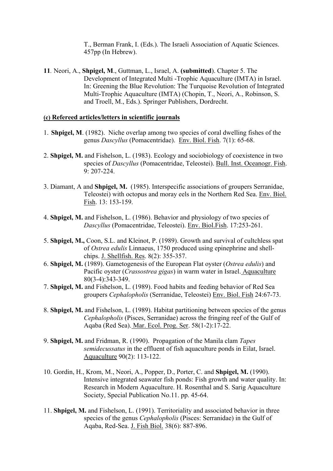T., Berman Frank, I. (Eds.). The Israeli Association of Aquatic Sciences. 457pp (In Hebrew).

**11***.* Neori, A., **Shpigel, M**., Guttman, L., Israel, A. **(submitted**). Chapter 5. The Development of Integrated Multi -Trophic Aquaculture (IMTA) in Israel. In: Greening the Blue Revolution: The Turquoise Revolution of Integrated Multi-Trophic Aquaculture (IMTA) (Chopin, T., Neori, A., Robinson, S. and Troell, M., Eds.). Springer Publishers, Dordrecht.

#### **(c) Refereed articles/letters in scientific journals**

- 1. **Shpigel, M**. (1982). Niche overlap among two species of coral dwelling fishes of the genus *Dascyllus* (Pomacentridae). Env. Biol. Fish. 7(1): 65-68.
- 2. **Shpigel, M.** and Fishelson, L. (1983). Ecology and sociobiology of coexistence in two species of *Dascyllus* (Pomacentridae, Teleostei). Bull. Inst. Oceanogr. Fish. 9: 207-224.
- 3. Diamant, A and **Shpigel, M.** (1985). Interspecific associations of groupers Serranidae, Teleostei) with octopus and moray eels in the Northern Red Sea. Env. Biol. Fish. 13: 153-159.
- 4. **Shpigel, M.** and Fishelson, L. (1986). Behavior and physiology of two species of *Dascyllus* (Pomacentridae, Teleostei). Env. Biol.Fish. 17:253-261.
- 5. **Shpigel, M.,** Coon, S.L. and Kleinot, P. (1989). Growth and survival of cultchless spat of *Ostrea edulis* Linnaeus, 1750 produced using epinephrine and shellchips. J. Shellfish. Res. 8(2): 355-357.
- 6. **Shpigel, M.** (1989). Gametogenesis of the European Flat oyster (*Ostrea edulis*) and Pacific oyster (*Crassostrea gigas*) in warm water in Israel. Aquaculture 80(3-4):343-349.
- 7. **Shpigel, M.** and Fishelson, L. (1989). Food habits and feeding behavior of Red Sea groupers *Cephalopholis* (Serranidae, Teleostei) Env. Biol. Fish 24:67-73.
- 8. **Shpigel, M.** and Fishelson, L. (1989). Habitat partitioning between species of the genus *Cephalopholis* (Pisces, Serranidae) across the fringing reef of the Gulf of Aqaba (Red Sea). Mar. Ecol. Prog. Ser. 58(1-2):17-22.
- 9. **Shpigel, M.** and Fridman, R. (1990). Propagation of the Manila clam *Tapes semidecussatus* in the effluent of fish aquaculture ponds in Eilat, Israel. Aquaculture 90(2): 113-122.
- 10. Gordin, H., Krom, M., Neori, A., Popper, D., Porter, C. and **Shpigel, M.** (1990). Intensive integrated seawater fish ponds: Fish growth and water quality. In: Research in Modern Aquaculture. H. Rosenthal and S. Sarig Aquaculture Society, Special Publication No.11. pp. 45-64.
- 11. **Shpigel, M.** and Fishelson, L. (1991). Territoriality and associated behavior in three species of the genus *Cephalopholis* (Pisces: Serranidae) in the Gulf of Aqaba, Red-Sea. J. Fish Biol. 38(6): 887-896.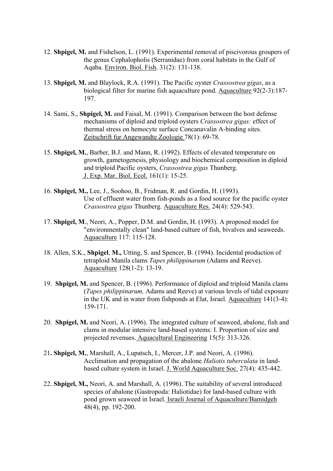- 12. **Shpigel, M.** and Fishelson, L. (1991). Experimental removal of piscivorous groupers of the genus Cephalopholis (Serranidae) from coral habitats in the Gulf of Aqaba. Environ. Biol. Fish. 31(2): 131-138.
- 13. **Shpigel, M.** and Blaylock, R.A. (1991). The Pacific oyster *Crassostrea gigas*, as a biological filter for marine fish aquaculture pond. Aquaculture 92(2-3):187- 197.
- 14. Sami, S., **Shpigel, M.** and Faisal, M. (1991). Comparison between the host defense mechanisms of diploid and triploid oysters *Crassostrea gigas:* effect of thermal stress on hemocyte surface Concanavalin A-binding sites. Zeitschrift fur Angewandte Zoologie 78(1): 69-78.
- 15. **Shpigel, M.**, Barber, B.J. and Mann, R. (1992). Effects of elevated temperature on growth, gametogenesis, physiology and biochemical composition in diploid and triploid Pacific oysters, *Crassostrea gigas* Thunberg. J. Exp. Mar. Biol. Ecol. 161(1): 15-25.
- 16. **Shpigel, M.,** Lee, J., Soohoo, B., Fridman, R. and Gordin, H. (1993). Use of effluent water from fish-ponds as a food source for the pacific oyster *Crassostrea gigas* Thunberg. Aquaculture Res. 24(4): 529-543.
- 17. **Shpigel, M**., Neori, A., Popper, D.M. and Gordin, H. (1993). A proposed model for "environmentally clean" land-based culture of fish, bivalves and seaweeds. Aquaculture 117: 115-128.
- 18. Allen, S.K., **Shpigel**, **M.,** Utting, S. and Spencer, B. (1994). Incidental production of tetraploid Manila clams *Tapes philippinarum* (Adams and Reeve). Aquaculture 128(1-2): 13-19.
- 19. **Shpigel, M.** and Spencer, B. (1996). Performance of diploid and triploid Manila clams (*Tapes philippinarum,* Adams and Reeve) at various levels of tidal exposure in the UK and in water from fishponds at Elat, Israel. Aquaculture 141(3-4): 159-171.
- 20. **Shpigel, M.** and Neori, A. (1996). The integrated culture of seaweed, abalone, fish and clams in modular intensive land-based systems: I. Proportion of size and projected revenues. Aquacultural Engineering 15(5): 313-326.
- 21**. Shpigel, M.**, Marshall, A., Lupatsch, I., Mercer, J.P. and Neori, A. (1996). Acclimation and propagation of the abalone *Haliotis tuberculata* in landbased culture system in Israel. J. World Aquaculture Soc. 27(4): 435-442.
- 22. **Shpigel, M.,** Neori, A. and Marshall, A. (1996). The suitability of several introduced species of abalone (Gastropoda: Haliotidae) for land-based culture with pond grown seaweed in Israel. Israeli Journal of Aquaculture/Bamidgeh 48(4), pp. 192-200.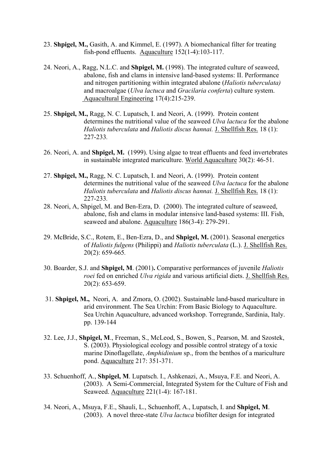- 23. **Shpigel, M.,** Gasith, A. and Kimmel, E. (1997). A biomechanical filter for treating fish-pond effluents. Aquaculture 152(1-4):103-117.
- 24. Neori, A., Ragg, N.L.C. and **Shpigel, M.** (1998). The integrated culture of seaweed, abalone, fish and clams in intensive land-based systems: II. Performance and nitrogen partitioning within integrated abalone (*Haliotis tuberculata)*  and macroalgae (*Ulva lactuca* and *Gracilaria conferta*) culture system. Aquacultural Engineering 17(4):215-239.
- 25. **Shpigel, M.,** Ragg, N. C. Lupatsch, I. and Neori, A. (1999). Protein content determines the nutritional value of the seaweed *Ulva lactuca* for the abalone *Haliotis tuberculata* and *Haliotis discus hannai.* J. Shellfish Res. 18 (1): 227-233*.*
- 26. Neori, A. and **Shpigel, M.** (1999). Using algae to treat effluents and feed invertebrates in sustainable integrated mariculture. World Aquaculture 30(2): 46-51.
- 27. **Shpigel, M.,** Ragg, N. C. Lupatsch, I. and Neori, A. (1999). Protein content determines the nutritional value of the seaweed *Ulva lactuca* for the abalone *Haliotis tuberculata* and *Haliotis discus hannai.* J. Shellfish Res. 18 (1): 227-233*.*
- 28. Neori, A, Shpigel, M. and Ben-Ezra, D. (2000). The integrated culture of seaweed, abalone, fish and clams in modular intensive land-based systems: III. Fish, seaweed and abalone. Aquaculture 186(3-4): 279-291.
- 29. McBride, S.C., Rotem, E., Ben-Ezra, D., and **Shpigel, M.** (2001). Seasonal energetics of *Haliotis fulgens* (Philippi) and *Haliotis tuberculata* (L.). J. Shellfish Res. 20(2): 659-665*.*
- 30. Boarder, S.J. and **Shpigel, M**. (2001)**.** Comparative performances of juvenile *Haliotis roei* fed on enriched *Ulva rigida* and various artificial diets. J. Shellfish Res. 20(2): 653-659.
- 31. **Shpigel, M.,** Neori, A. and Zmora, O. (2002). Sustainable land-based mariculture in arid environment. The Sea Urchin: From Basic Biology to Aquaculture. Sea Urchin Aquaculture, advanced workshop. Torregrande, Sardinia, Italy. pp. 139-144
- 32. Lee, J.J., **Shpigel, M**., Freeman, S., McLeod, S., Bowen, S., Pearson, M. and Szostek, S. (2003). Physiological ecology and possible control strategy of a toxic marine Dinoflagellate, *Amphidinium* sp., from the benthos of a mariculture pond. Aquaculture 217: 351-371.
- 33. Schuenhoff, A., **Shpigel, M**. Lupatsch. I., Ashkenazi, A., Msuya, F.E. and Neori, A. (2003). A Semi-Commercial, Integrated System for the Culture of Fish and Seaweed. Aquaculture 221(1-4): 167-181.
- 34. Neori, A., Msuya, F.E., Shauli, L., Schuenhoff, A., Lupatsch, I. and **Shpigel, M**. (2003). A novel three-state *Ulva lactuca* biofilter design for integrated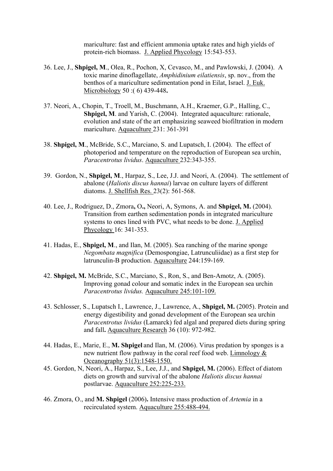mariculture: fast and efficient ammonia uptake rates and high yields of protein-rich biomass. J. Applied Phycology 15:543-553.

- 36. Lee, J., **Shpigel, M**., Olea, R., Pochon, X, Cevasco, M., and Pawlowski, J. (2004). A toxic marine dinoflagellate, *Amphidinium eilatiensis*, sp. nov., from the benthos of a mariculture sedimentation pond in Eilat, Israel. J. Euk. Microbiology 50 :( 6) 439-448**.**
- 37. Neori, A., Chopin, T., Troell, M., Buschmann, A.H., Kraemer, G.P., Halling, C., **Shpigel, M**. and Yarish, C. (2004). Integrated aquaculture: rationale, evolution and state of the art emphasizing seaweed biofiltration in modern mariculture. Aquaculture 231: 361-391
- 38. **Shpigel, M**., McBride, S.C., Marciano, S. and Lupatsch, I. (2004). The effect of photoperiod and temperature on the reproduction of European sea urchin, *Paracentrotus lividus*. Aquaculture 232:343-355.
- 39. Gordon, N., **Shpigel, M**., Harpaz, S., Lee, J.J. and Neori, A. (2004). The settlement of abalone (*Haliotis discus hannai*) larvae on culture layers of different diatoms. J. Shellfish Res. 23(2): 561-568.
- 40. Lee, J., Rodriguez, D., Zmora**,** O**.,** Neori, A, Symons, A. and **Shpigel, M.** (2004). Transition from earthen sedimentation ponds in integrated mariculture systems to ones lined with PVC, what needs to be done. J. Applied Phycology 16: 341-353.
- 41. Hadas, E., **Shpigel, M**., and Ilan, M. (2005). Sea ranching of the marine sponge *Negombata magnifica* (Demospongiae, Latrunculiidae) as a first step for latrunculin-B production. Aquaculture 244:159-169.
- 42. **Shpigel, M.** McBride, S.C., Marciano, S., Ron, S., and Ben-Amotz, A. (2005). Improving gonad colour and somatic index in the European sea urchin *Paracentrotus lividus.* Aquaculture 245:101-109.
- 43. Schlosser, S., Lupatsch I., Lawrence, J., Lawrence, A., **Shpigel, M.** (2005). Protein and energy digestibility and gonad development of the European sea urchin *Paracentrotus lividus* (Lamarck) fed algal and prepared diets during spring and fall**.** Aquaculture Research 36 (10): 972-982.
- 44. Hadas, E., Marie, E., **M. Shpigel** and Ilan, M. (2006). Virus predation by sponges is a new nutrient flow pathway in the coral reef food web. Limnology & Oceanography 51(3):1548-1550.
- 45. Gordon, N, Neori, A., Harpaz, S., Lee, J.J., and **Shpigel, M.** (2006). Effect of diatom diets on growth and survival of the abalone *Haliotis discus hannai* postlarvae. Aquaculture 252:225-233.
- 46. Zmora, O., and **M. Shpigel** (2006)**.** Intensive mass production of *Artemia* in a recirculated system. Aquaculture 255:488-494.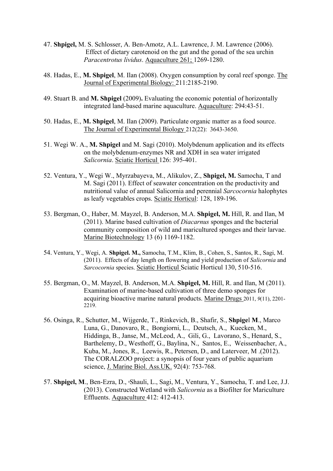- 47. **Shpigel,** M. S. Schlosser, A. Ben-Amotz, A.L. Lawrence, J. M. Lawrence (2006). Effect of dietary carotenoid on the gut and the gonad of the sea urchin *Paracentrotus lividus*. Aquaculture 261; 1269-1280.
- 48. Hadas, E., **M. Shpigel**, M. Ilan (2008). Oxygen consumption by coral reef sponge. The Journal of Experimental Biology: 211:2185-2190.
- 49. Stuart B. and **M. Shpigel** (2009)**.** Evaluating the economic potential of horizontally integrated land-based marine aquaculture. Aquaculture: 294:43-51.
- 50. Hadas, E., **M. Shpigel**, M. Ilan (2009). Particulate organic matter as a food source. The Journal of Experimental Biology 212(22): 3643-3650.
- 51. Wegi W. A., **M. Shpigel** and M. Sagi (2010). Molybdenum application and its effects on the molybdenum-enzymes NR and XDH in sea water irrigated *Salicornia*. Sciatic Horticul 126: 395-401.
- 52. Ventura, Y., Wegi W., Myrzabayeva, M., Alikulov, Z., **Shpigel, M.** Samocha, T and M. Sagi (2011). Effect of seawater concentration on the productivity and nutritional value of annual Salicornia and perennial *Sarcocornia* halophytes as leafy vegetables crops. Sciatic Horticul: 128, 189-196.
- 53. Bergman, O., Haber, M. Mayzel, B. Anderson, M.A. **Shpigel, M.** Hill, R. and Ilan, M (2011). Marine based cultivation of *Diacarnus* sponges and the bacterial community composition of wild and maricultured sponges and their larvae. Marine Biotechnology 13 (6) 1169-1182.
- 54. Ventura, Y., Wegi, A. **Shpigel. M.,** Samocha, T.M., Klim, B., Cohen, S., Santos, R., Sagi, M. (2011). Effects of day length on flowering and yield production of *Salicornia* and *Sarcocornia* species. Sciatic Horticul Sciatic Horticul 130, 510-516.
- 55. Bergman, O., M. Mayzel, B. Anderson, M.A. **Shpigel, M.** Hill, R. and Ilan, M (2011). Examination of marine-based cultivation of three demo sponges for acquiring bioactive marine natural products. Marine Drugs 2011, *9*(11), 2201- 2219.
- 56. Osinga, R., Schutter, M., Wijgerde, T., Rinkevich, B., Shafir, S., **Shpige**l **M**., Marco Luna, G., Danovaro, R., Bongiorni, L., Deutsch, A., Kuecken, M., Hiddinga, B., Janse, M., McLeod, A., Gili, G., Lavorano, S., Henard, S., Barthelemy, D., Westhoff, G., Baylina, N., Santos, E., Weissenbacher, A., Kuba, M., Jones, R., Leewis, R., Petersen, D., and Laterveer, M .(2012). The CORALZOO project: a synopsis of four years of public aquarium science, J. Marine Biol. Ass.UK. 92(4): 753-768.
- 57. Shpigel, M., Ben-Ezra, D., <sup>a</sup>Shauli, L., Sagi, M., Ventura, Y., Samocha, T. and Lee, J.J. (2013). Constructed Wetland with *Salicornia* as a Biofilter for Mariculture Effluents. Aquaculture 412: 412-413.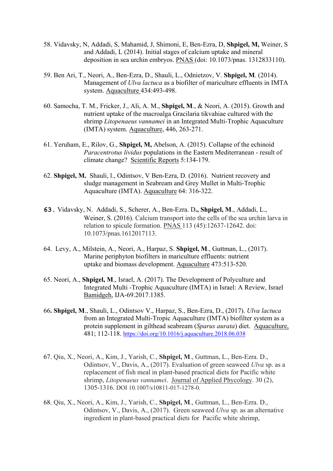- 58. Vidavsky, N, Addadi, S, Mahamid, J, Shimoni, E, Ben-Ezra, D, **Shpigel, M,** Weiner, S and Addadi, L (2014). Initial stages of calcium uptake and mineral deposition in sea urchin embryos. PNAS (doi: 10.1073/pnas. 1312833110).
- 59. Ben Ari, T., Neori, A., Ben-Ezra, D., Shauli, L., Odnietzov, V. **Shpigel, M**. (2014). Management of *Ulva lactuca* as a biofilter of mariculture effluents in IMTA system. Aquaculture 434:493-498.
- 60. Samocha, T. M., Fricker, J., Ali, A. M., **Shpigel, M**., & Neori, A. (2015). Growth and nutrient uptake of the macroalga Gracilaria tikvahiae cultured with the shrimp *Litopenaeus vannamei* in an Integrated Multi-Trophic Aquaculture (IMTA) system. Aquaculture, 446, 263-271.
- 61. Yeruham, E., Rilov, G., **Shpigel, M,** Abelson, A. (2015). Collapse of the echinoid *Paracentrotus lividus* populations in the Eastern Mediterranean - result of climate change? Scientific Reports 5:134-179.
- 62. **Shpigel, M.** Shauli, l., Odintsov, V Ben-Ezra, D. (2016). Nutrient recovery and sludge management in Seabream and Grey Mullet in Multi-Trophic Aquaculture (IMTA). Aquaculture 64: 316-322.
- **63.** [Vidavsky,](http://www.pnas.org/search?author1=Netta+Vidavsky&sortspec=date&submit=Submit) N. [Addadi,](http://www.pnas.org/search?author1=Sefi+Addadi&sortspec=date&submit=Submit) S., Scherer, A., Ben-Ezra. D**., Shpigel, M**., [Addadi,](http://www.pnas.org/search?author1=Sefi+Addadi&sortspec=date&submit=Submit) L., Weiner, S. (2016). Calcium transport into the cells of the sea urchin larva in relation to spicule formation. PNAS 113 (45):12637-12642. doi: 10.1073/pnas.1612017113.
- 64. Levy, A., Milstein, A., Neori, A., Harpaz, S. **Shpigel, M**., Guttman, L., (2017). Marine periphyton biofilters in mariculture effluents: nutrient uptake and biomass development. Aquaculture 473:513-520.
- 65. Neori, A., **Shpigel, M**., Israel, A. (2017). The Development of Polyculture and Integrated Multi -Trophic Aquaculture (IMTA) in Israel: A Review, Israel Bamidgeh, IJA-69.2017.1385.
- 66**. Shpigel, M**., Shauli, L., Odintsov V., Harpaz, S., Ben-Ezra, D., (2017). *Ulva lactuca* from an Integrated Multi-Tropic Aquaculture (IMTA) biofilter system as a protein supplement in gilthead seabream (*Sparus aurata*) diet. Aquaculture, 481; 112-118. <https://doi.org/10.1016/j.aquaculture.2018.06.038>
- 67. Qiu, X., Neori, A., Kim, J., Yarish, C., **Shpigel, M**., Guttman, L., Ben-Ezra. D., Odintsov, V., Davis, A., (2017). Evaluation of green seaweed *Ulva* sp. as a replacement of fish meal in plant-based practical diets for Pacific white shrimp, *Litopenaeus vannamei*. Journal of Applied Phycology. 30 (2), 1305-1316. DOI 10.1007/s10811-017-1278-0.
- 68. Qiu, X., Neori, A., Kim, J., Yarish, C., **Shpigel, M**., Guttman, L., Ben-Ezra. D., Odintsov, V., Davis, A., (2017). Green seaweed *Ulva* sp. as an alternative ingredient in plant-based practical diets for Pacific white shrimp,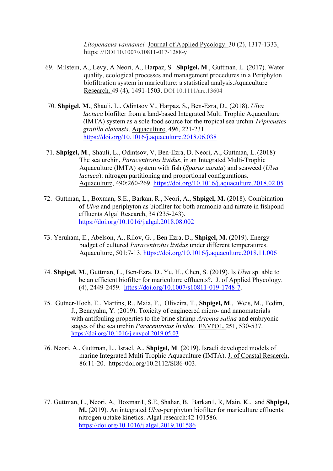*Litopenaeus vannamei.* Journal of Applied Pycology. 30 (2), 1317-1333. https: //DOI 10.1007/s10811-017-1288-y

- 69. Milstein, A., Levy, A Neori, A., Harpaz, S. **Shpigel, M**., Guttman, L. (2017). Water quality, ecological processes and management procedures in a Periphyton biofiltration system in mariculture: a statistical analysis.Aquaculture Research. 49 (4), 1491-1503. DOI 10.1111/are.13604
- 70. **Shpigel, M**., Shauli, L., Odintsov V., Harpaz, S., Ben-Ezra, D., (2018). *Ulva lactuca* biofilter from a land-based Integrated Multi Trophic Aquaculture (IMTA) system as a sole food source for the tropical sea urchin *Tripneustes gratilla elatensis*. Aquaculture, 496, 221-231. <https://doi.org/10.1016/j.aquaculture.2018.06.038>
- 71. **Shpigel, M**., Shauli, L., Odintsov, V, Ben-Ezra, D. Neori, A., Guttman, L.(2018). The sea urchin, *Paracentrotus lividus*, in an Integrated Multi-Trophic Aquaculture (IMTA) system with fish (*Sparus aurata*) and seaweed (*Ulva lactuca*): nitrogen partitioning and proportional configurations. Aquaculture, 490:260-269.<https://doi.org/10.1016/j.aquaculture.2018.02.05>
- 72. Guttman, L., Boxman, S.E., Barkan, R., Neori, A., **Shpigel, M.** (2018). Combination of *Ulva* and periphyton as biofilter for both ammonia and nitrate in fishpond effluents Algal Research, 34 (235-243). <https://doi.org/10.1016/j.algal.2018.08.002>
- 73. Yeruham, E., Abelson, A., Rilov, G. , Ben Ezra, D., **Shpigel, M.** (2019). Energy budget of cultured *Paracentrotus lividus* under different temperatures. Aquaculture, 501:7-13.<https://doi.org/10.1016/j.aquaculture.2018.11.006>
- 74. **Shpigel, M**., Guttman, L., Ben-Ezra, D., Yu, H., Chen, S. (2019). Is *Ulva* sp. able to be an efficient biofilter for mariculture effluents?. J. of Applied Phycology. (4), 2449-2459. [https://doi.org/10.1007/s10811-019-1748-7.](https://doi.org/10.1007/s10811-019-1748-7)
- 75. Gutner-Hoch, E., Martins, R., Maia, F., Oliveira, T., **Shpigel, M**., Weis, M., Tedim, J., Benayahu, Y. (2019). Toxicity of engineered micro- and nanomaterials with antifouling properties to the brine shrimp *Artemia salina* and embryonic stages of the sea urchin *Paracentrotus lividus.* ENVPOL. 251, 530-537. <https://doi.org/10.1016/j.envpol.2019.05.03>
- 76. Neori, A., Guttman, L., Israel, A., **Shpigel, M**. (2019). Israeli developed models of marine Integrated Multi Trophic Aquaculture (IMTA). J. of Coastal Resaerch, 86:11-20. https:/doi.org/10.2112/SI86-003.
- 77. Guttman, L., Neori, A, Boxman1, S.E, Shahar, B, Barkan1, R, Main, K., and **Shpigel, M.** (2019). An integrated *Ulva-*periphyton biofilter for mariculture effluents: nitrogen uptake kinetics. Algal research:42 101586. <https://doi.org/10.1016/j.algal.2019.101586>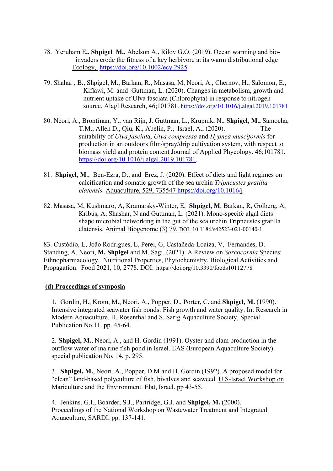- 78. Yeruham E**., Shpigel M.,** Abelson A., Rilov G.O. (2019). Ocean warming and bio invaders erode the fitness of a key herbivore at its warm distributional edge Ecology, <https://doi.org/10.1002/ecy.2925>
- 79. Shahar , B., Shpigel, M., Barkan, R., Masasa, M, Neori, A., Chernov, H., Salomon, E., Kiflawi, M. amd Guttman, L. (2020). Changes in metabolism, growth and nutrient uptake of Ulva fasciata (Chlorophyta) in response to nitrogen source. Alagl Research, 46;101781.<https://doi.org/10.1016/j.algal.2019.101781>
- 80. Neori, A., Bronfman, Y., van Rijn, J. Guttman, L., Krupnik, N., **Shpigel, M.,** Samocha, T.M., Allen D., Qiu, K., Abelin, P., Israel, A., (2020). The suitability of *Ulva fasciat*a, *Ulva compressa* and *Hypnea musciformis* for production in an outdoors film/spray/drip cultivation system, with respect to biomass yield and protein content Journal of Applied Phycology. 46;101781. [https://doi.org/10.1016/j.algal.2019.101781.](https://doi.org/10.1016/j.algal.2019.101781)
- 81. **Shpigel, M**., Ben-Ezra, D., and Erez, J. (2020). Effect of diets and light regimes on calcification and somatic growth of the sea urchin *Tripneustes gratilla elatensis.* Aquaculture, 529, 735547 <https://doi.org/10.1016/j>
- 82. Masasa, M, Kushmaro, A, Kramarsky-Winter, E, **Shpigel, M**, Barkan, R, Golberg, A, Kribus, A, Shashar, N and Guttman, L. (2021). Mono-specifc algal diets shape microbial networking in the gut of the sea urchin Tripneustes gratilla elatensis. Animal Biogenome (3) 79. DOI: [10.1186/s42523-021-00140-1](https://animalmicrobiome.biomedcentral.com/articles/10.1186/s42523-021-00140-1)

83. Custódio, L, João Rodrigues, L, Perei, G, Castañeda-Loaiza, V, Fernandes, D. Standing, A. Neori, **M. Shpigel** and M. Sagi. (2021). A Review on *Sarcocornia* Species: Ethnopharmacology, Nutritional Properties, Phytochemistry, Biological Activities and Propagation. Food 2021, 10, 2778. DOI: <https://doi.org/10.3390/foods10112778>

## **(d) Proceedings of symposia**

1. Gordin, H., Krom, M., Neori, A., Popper, D., Porter, C. and **Shpigel, M.** (1990). Intensive integrated seawater fish ponds: Fish growth and water quality. In: Research in Modern Aquaculture. H. Rosenthal and S. Sarig Aquaculture Society, Special Publication No.11. pp. 45-64.

2. **Shpigel, M.**, Neori, A., and H. Gordin (1991). Oyster and clam production in the outflow water of ma.rine fish pond in Israel. EAS (European Aquaculture Society) special publication No. 14, p. 295.

3. **Shpigel, M.**, Neori, A., Popper, D.M and H. Gordin (1992). A proposed model for "clean" land-based polyculture of fish, bivalves and seaweed. U.S-Israel Workshop on Mariculture and the Environment. Elat, Israel. pp 43-55.

4. Jenkins, G.I., Boarder, S.J., Partridge, G.J. and **Shpigel, M.** (2000). Proceedings of the National Workshop on Wastewater Treatment and Integrated Aquaculture, SARDI, pp. 137-141.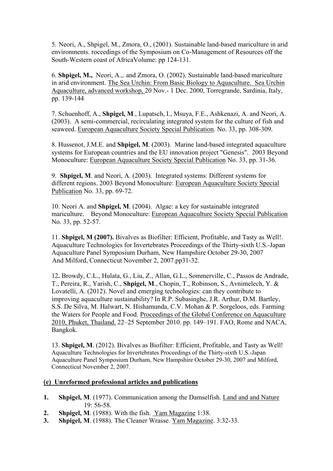5. Neori, A., Shpigel, M., Zmora, O., (2001). Sustainable land-based mariculture in arid environments. roceedings of the Symposium on Co-Management of Resources off the South-Western coast of AfricaVolume: pp 124-131.

6. **Shpigel, M.,** Neori, A.,. and Zmora, O. (2002). Sustainable land-based mariculture in arid environment. The Sea Urchin: From Basic Biology to Aquaculture. Sea Urchin Aquaculture, advanced workshop, 20 Nov.- 1 Dec. 2000, Torregrande, Sardinia, Italy, pp. 139-144

7. Schuenhoff, A., **Shpigel, M**., Lupatsch, I., Msuya, F.E., Ashkenazi, A. and Neori, A. (2003). A semi-commercial, recirculating integrated system for the culture of fish and seaweed. European Aquaculture Society Special Publication. No. 33, pp. 308-309.

8. Hussenot, J.M.E. and **Shpigel, M**. (2003). Marine land-based integrated aquaculture systems for European countries and the EU innovation project "Genesis". 2003 Beyond Monoculture: European Aquaculture Society Special Publication No. 33, pp. 31-36.

9. **Shpigel, M**. and Neori, A. (2003). Integrated systems: Different systems for different regions. 2003 Beyond Monoculture: European Aquaculture Society Special Publication No. 33, pp. 69-72.

10. Neori A. and **Shpigel, M**. (2004). Algae: a key for sustainable integrated mariculture. Beyond Monoculture: European Aquaculture Society Special Publication No. 33, pp. 52-57.

11. **Shpigel, M (2007).** Bivalves as Biofilter: Efficient, Profitable, and Tasty as Well!. Aquaculture Technologies for Invertebrates Proceedings of the Thirty-sixth U.S.-Japan Aquaculture Panel Symposium Durham, New Hampshire October 29-30, 2007 And Milford, Connecticut November 2, 2007.pp31-32.

12**.** Browdy, C.L., Hulata, G., Liu, Z., Allan, G.L., Sommerville, C., Passos de Andrade, T., Pereira, R., Yarish, C., **Shpigel, M**., Chopin, T., Robinson, S., Avnimelech, Y. & Lovatelli, A. (2012). Novel and emerging technologies: can they contribute to improving aquaculture sustainability? In R.P. Subasinghe, J.R. Arthur, D.M. Bartley, S.S. De Silva, M. Halwart, N. Hishamunda, C.V. Mohan & P. Sorgeloos, eds. Farming the Waters for People and Food. Proceedings of the Global Conference on Aquaculture 2010, Phuket, Thailand. 22–25 September 2010. pp. 149–191. FAO, Rome and NACA, Bangkok.

13. **Shpigel, M**. (2012). Bivalves as Biofilter: Efficient, Profitable, and Tasty as Well! Aquaculture Technologies for Invertebrates Proceedings of the Thirty-sixth U.S.-Japan Aquaculture Panel Symposium Durham, New Hampshire October 29-30, 2007 and Milford, Connecticut November 2, 2007.

#### **(e) Unreformed professional articles and publications**

- **1. Shpigel, M**. (1977). Communication among the Damselfish. Land and and Nature 19: 56-58.
- **2. Shpigel, M**. (1988). With the fish. Yam Magazine 1:38.
- **3. Shpigel, M**. (1988). The Cleaner Wrasse. Yam Magazine. 3:32-33.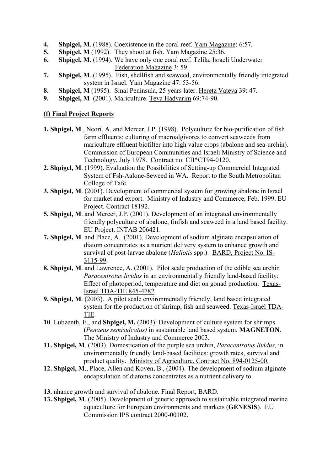- **4. Shpigel, M**. (1988). Coexistence in the coral reef. Yam Magazine: 6:57.
- **5. Shpigel, M** (1992). They shoot at fish. Yam Magazine 25:36.
- **6. Shpigel, M**. (1994). We have only one coral reef. Tzlila, Israeli Underwater Federation Magazine 3: 59.
- **7. Shpigel, M**. (1995). Fish, shellfish and seaweed, environmentally friendly integrated system in Israel. Yam Magazine 47: 53-56.
- **8. Shpigel, M** (1995). Sinai Peninsula, 25 years later. Heretz Vateva 39: 47.
- **9. Shpigel, M** (2001). Mariculture. Teva Hadvarim 69:74-90.

## **(f) Final Project Reports**

- **1. Shpigel, M**., Neori, A. and Mercer, J.P. (1998). Polyculture for bio-purification of fish farm effluents: culturing of macroalgivores to convert seaweeds from mariculture effluent biofilter into high value crops (abalone and sea-urchin). Commission of European Communities and Israeli Ministry of Science and Technology, July 1978. Contract no: CII\*CT94-0120.
- **2. Shpigel, M**. (1999). Evaluation the Possibilities of Setting-up Commercial Integrated System of Fsh-Aalone-Seweed in WA. Report to the South Metropolitan College of Tafe.
- **3. Shpigel, M**. (2001). Development of commercial system for growing abalone in Israel for market and export. Ministry of Industry and Commerce, Feb. 1999. EU Project. Contract 18192.
- **5. Shpigel, M**. and Mercer, J.P. (2001). Development of an integrated environmentally friendly polyculture of abalone, finfish and seaweed in a land based facility. EU Project. INTAB 206421.
- **7. Shpigel, M**. and Place, A. (2001). Development of sodium alginate encapsulation of diatom concentrates as a nutrient delivery system to enhance growth and survival of post-larvae abalone (*Haliotis* spp.). BARD, Project No. IS-3115-99.
- **8. Shpigel, M**. and Lawrence, A. (2001). Pilot scale production of the edible sea urchin *Paracentrotus lividus* in an environmentally friendly land-based facility: Effect of photoperiod, temperature and diet on gonad production. Texas-Israel TDA-TIE 845-4782.
- **9. Shpigel, M**. (2003). A pilot scale environmentally friendly, land based integrated system for the production of shrimp, fish and seaweed. Texas-Israel TDA-TIE.
- **10**. Lubzenth, E., and **Shpigel, M.** (2003): Development of culture system for shrimps (*Penaeus semisulcatus)* in sustainable land based system. **MAGNETON**. The Ministry of Industry and Commerce 2003.
- **11. Shpigel, M**. (2003). Domestication of the purple sea urchin, *Paracentrotus lividus,* in environmentally friendly land-based facilities: growth rates, survival and product quality. Ministry of Agriculture. Contract No. 894-0125-00.
- **12. Shpigel, M**., Place, Allen and Koven, B., (2004). The development of sodium alginate encapsulation of diatoms concentrates as a nutrient delivery to
- **13.** nhance growth and survival of abalone. Final Report, BARD.
- **13. Shpigel, M**. (2005). Development of generic approach to sustainable integrated marine aquaculture for European environments and markets (**GENESIS**). EU Commission IPS contract 2000-00102.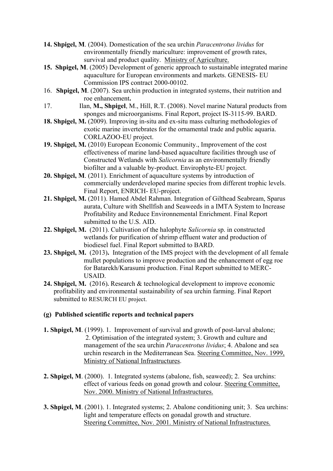- **14. Shpigel, M**. (2004). Domestication of the sea urchin *Paracentrotus lividus* for environmentally friendly mariculture: improvement of growth rates, survival and product quality. Ministry of Agriculture.
- **15. Shpigel, M**. (2005) Development of generic approach to sustainable integrated marine aquaculture for European environments and markets. GENESIS- EU Commission IPS contract 2000-00102.
- 16. **Shpigel, M**. (2007). Sea urchin production in integrated systems, their nutrition and roe enhancement**.**
- 17. Ilan, **M., Shpigel**, M., Hill, R.T. (2008). Novel marine Natural products from sponges and microorganisms. Final Report, project IS-3115-99. BARD.
- **18. Shpigel, M.** (2009). Improving in-situ and ex-situ mass culturing methodologies of exotic marine invertebrates for the ornamental trade and public aquaria. CORLAZOO-EU project.
- **19. Shpigel, M.** (2010) European Economic Community., Improvement of the cost effectiveness of marine land-based aquaculture facilities through use of Constructed Wetlands with *Salicornia* as an environmentally friendly biofilter and a valuable by-product. Envirophyte-EU project.
- **20. Shpigel, M**. (2011). Enrichment of aquaculture systems by introduction of commercially underdeveloped marine species from different trophic levels. Final Report, ENRICH- EU-project.
- **21. Shpigel, M.** (2011). Hamed Abdel Rahman. Integration of Gilthead Seabream, Sparus aurata, Culture with Shellfish and Seaweeds in a IMTA System to Increase Profitability and Reduce Environnemental Enrichment. Final Report submitted to the U.S. AID.
- **22. Shpigel, M.** (2011). Cultivation of the halophyte *Salicornia* sp. in constructed wetlands for purification of shrimp effluent water and production of biodiesel fuel. Final Report submitted to BARD.
- **23. Shpigel, M.** (2013)**.** Integration of the IMS project with the development of all female mullet populations to improve production and the enhancement of egg roe for Batarekh/Karasumi production. Final Report submitted to MERC-USAID.
- **24. Shpigel, M.** (2016)**.** Research & technological development to improve economic profitability and environmental sustainability of sea urchin farming. Final Report submitted to RESURCH EU project.

## **(g) Published scientific reports and technical papers**

- **1. Shpigel, M**. (1999). 1. Improvement of survival and growth of post-larval abalone; 2. Optimisation of the integrated system; 3. Growth and culture and management of the sea urchin *Paracentrotus lividus*; 4. Abalone and sea urchin research in the Mediterranean Sea. Steering Committee, Nov. 1999, Ministry of National Infrastructures.
- **2. Shpigel, M**. (2000). 1. Integrated systems (abalone, fish, seaweed); 2. Sea urchins: effect of various feeds on gonad growth and colour. Steering Committee, Nov. 2000. Ministry of National Infrastructures.
- **3. Shpigel, M**. (2001). 1. Integrated systems; 2. Abalone conditioning unit; 3. Sea urchins: light and temperature effects on gonadal growth and structure. Steering Committee, Nov. 2001. Ministry of National Infrastructures.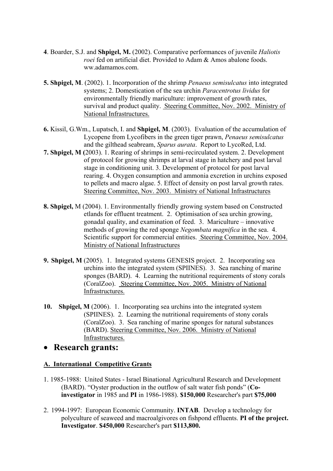- **4**. Boarder, S.J. and **Shpigel, M.** (2002). Comparative performances of juvenile *Haliotis roei* fed on artificial diet. Provided to Adam & Amos abalone foods. ww.adamamos.com.
- **5. Shpigel, M**. (2002). 1. Incorporation of the shrimp *Penaeus semisulcatus* into integrated systems; 2. Domestication of the sea urchin *Paracentrotus lividus* for environmentally friendly mariculture: improvement of growth rates, survival and product quality. Steering Committee, Nov. 2002. Ministry of National Infrastructures.
- **6.** Kissil, G.Wm., Lupatsch, I. and **Shpigel, M**. (2003). Evaluation of the accumulation of Lycopene from Lycofibers in the green tiger prawn, *Penaeus semisulcatus* and the gilthead seabream, *Sparus aurata*. Report to LycoRed, Ltd.
- **7. Shpigel, M (**2003). 1. Rearing of shrimps in semi-recirculated system. 2. Development of protocol for growing shrimps at larval stage in hatchery and post larval stage in conditioning unit. 3. Development of protocol for post larval rearing. 4. Oxygen consumption and ammonia excretion in urchins exposed to pellets and macro algae. 5. Effect of density on post larval growth rates. Steering Committee, Nov. 2003. Ministry of National Infrastructures
- **8. Shpigel,** M (2004). 1. Environmentally friendly growing system based on Constructed etlands for effluent treatment. 2. Optimisation of sea urchin growing, gonadal quality, and examination of feed. 3. Mariculture – innovative methods of growing the red sponge *Negombata magnifica* in the sea. 4. Scientific support for commercial entities. Steering Committee, Nov. 2004. Ministry of National Infrastructures
- **9. Shpigel, M** (2005). 1. Integrated systems GENESIS project. 2. Incorporating sea urchins into the integrated system (SPIINES). 3. Sea ranching of marine sponges (BARD). 4. Learning the nutritional requirements of stony corals (CoralZoo). Steering Committee, Nov. 2005. Ministry of National Infrastructures.
- **10. Shpigel, M** (2006). 1. Incorporating sea urchins into the integrated system (SPIINES). 2. Learning the nutritional requirements of stony corals (CoralZoo). 3. Sea ranching of marine sponges for natural substances (BARD). Steering Committee, Nov. 2006. Ministry of National Infrastructures.

## • **Research grants:**

## **A. International Competitive Grants**

- 1. 1985-1988: United States Israel Binational Agricultural Research and Development (BARD). "Oyster production in the outflow of salt water fish ponds" (**Coinvestigator** in 1985 and **PI** in 1986-1988). **\$150,000** Researcher's part **\$75,000**
- 2. 1994-1997: European Economic Community. **INTAB**. Develop a technology for polyculture of seaweed and macroalgivores on fishpond effluents. **PI of the project. Investigator**. **\$450,000** Researcher's part **\$113,800.**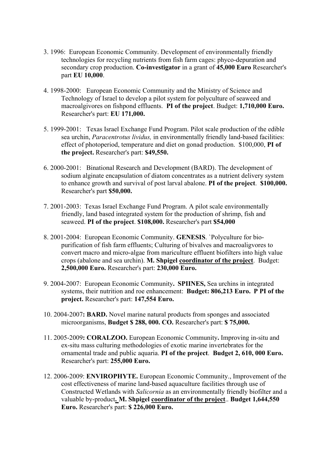- 3. 1996: European Economic Community. Development of environmentally friendly technologies for recycling nutrients from fish farm cages: phyco-depuration and secondary crop production. **Co-investigator** in a grant of **45,000 Euro** Researcher's part **EU 10,000**.
- 4. 1998-2000: European Economic Community and the Ministry of Science and Technology of Israel to develop a pilot system for polyculture of seaweed and macroalgivores on fishpond effluents. **PI of the project**. Budget: **1,710,000 Euro.**  Researcher's part: **EU 171,000.**
- 5. 1999-2001: Texas Israel Exchange Fund Program. Pilot scale production of the edible sea urchin, *Paracentrotus lividus,* in environmentally friendly land-based facilities: effect of photoperiod, temperature and diet on gonad production. \$100,000, **PI of the project.** Researcher's part: **\$49,550.**
- 6. 2000-2001: Binational Research and Development (BARD). The development of sodium alginate encapsulation of diatom concentrates as a nutrient delivery system to enhance growth and survival of post larval abalone. **PI of the project**. **\$100,000.** Researcher's part **\$50,000.**
- 7. 2001-2003: Texas Israel Exchange Fund Program. A pilot scale environmentally friendly, land based integrated system for the production of shrimp, fish and seaweed. **PI of the project**. **\$108,000.** Researcher's part **\$54,000**
- 8. 2001-2004: European Economic Community. **GENESIS**. `Polyculture for biopurification of fish farm effluents; Culturing of bivalves and macroaligvores to convert macro and micro-algae from mariculture effluent biofilters into high value crops (abalone and sea urchin). **M. Shpigel coordinator of the project**. Budget: **2,500,000 Euro.** Researcher's part: **230,000 Euro.**
- 9. 2004-2007: European Economic Community**. SPIINES,** Sea urchins in integrated systems, their nutrition and roe enhancement: **Budget: 806,213 Euro. P PI of the project.** Researcher's part: **147,554 Euro.**
- 10. 2004-2007**: BARD.** Novel marine natural products from sponges and associated microorganisms, **Budget \$ 288, 000. CO.** Researcher's part: **\$ 75,000.**
- 11. 2005-2009**: CORALZOO.** European Economic Community**.** Improving in-situ and ex-situ mass culturing methodologies of exotic marine invertebrates for the ornamental trade and public aquaria. **PI of the project**. **Budget 2, 610, 000 Euro.**  Researcher's part: **255,000 Euro.**
- 12. 2006-2009: **ENVIROPHYTE.** European Economic Community., Improvement of the cost effectiveness of marine land-based aquaculture facilities through use of Constructed Wetlands with *Salicornia* as an environmentally friendly biofilter and a valuable by-product**. M. Shpigel coordinator of the project**.. **Budget 1,644,550 Euro.** Researcher's part: **\$ 226,000 Euro.**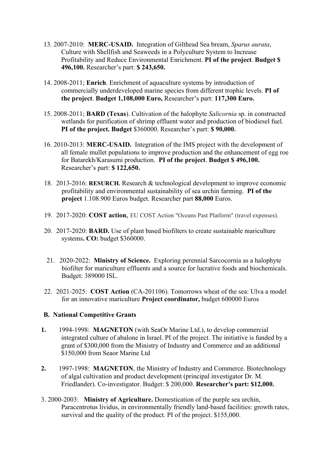- 13. 2007-2010: **MERC-USAID.** Integration of Gilthead Sea bream, *Sparus aurata*, Culture with Shellfish and Seaweeds in a Polyculture System to Increase Profitability and Reduce Environmental Enrichment. **PI of the project**. **Budget \$ 496,100.** Researcher's part: **\$ 243,650.**
- 14. 2008-2011; **Enrich**. Enrichment of aquaculture systems by introduction of commercially underdeveloped marine species from different trophic levels. **PI of the project**. **Budget 1,108,000 Euro,** Researcher's part: **117,300 Euro.**
- 15. 2008-2011; **BARD (Texas**). Cultivation of the halophyte *Salicornia* sp. in constructed wetlands for purification of shrimp effluent water and production of biodiesel fuel. **PI of the project. Budget** \$360000. Researcher's part: **\$ 90,000.**
- 16. 2010-2013: **MERC-USAID.** Integration of the IMS project with the development of all female mullet populations to improve production and the enhancement of egg roe for Batarekh/Karasumi production. **PI of the project**. **Budget \$ 496,100.**  Researcher's part: **\$ 122,650.**
- 18. 2013-2016: **RESURCH.** Research & technological development to improve economic profitability and environmental sustainability of sea urchin farming. **PI of the project** 1.108.900 Euros budget. Researcher part **88,000** Euros.
- 19. 2017-2020: **COST action**, EU COST Action "Oceans Past Platform" (travel expenses).
- 20. 2017-2020: **BARD.** Use of plant based biofilters to create sustainable mariculture systems**. CO:** budget \$360000.
- 21. 2020-2022: **Ministry of Science.** Exploring perennial Sarcocornia as a halophyte biofilter for mariculture effluents and a source for lucrative foods and biochemicals. Budget: 389000 ISL.
- 22. 2021-2025: **COST Action** (CA-201106). Tomorrows wheat of the sea: Ulva a model for an innovative mariculture **Project coordinator,** budget 600000 Euros

## **B. National Competitive Grants**

- **1.** 1994-1998: **MAGNETON** (with SeaOr Marine Ltd.), to develop commercial integrated culture of abalone in Israel. PI of the project. The initiative is funded by a grant of \$300,000 from the Ministry of Industry and Commerce and an additional \$150,000 from Seaor Marine Ltd
- **2.** 1997-1998: **MAGNETON**, the Ministry of Industry and Commerce. Biotechnology of algal cultivation and product development (principal investigator Dr. M. Friedlander). Co-investigator. Budget: \$ 200,000. **Researcher's part: \$12,000.**
- 3. 2000-2003: **Ministry of Agriculture.** Domestication of the purple sea urchin, Paracentrotus lividus, in environmentally friendly land-based facilities: growth rates, survival and the quality of the product. PI of the project. \$155,000.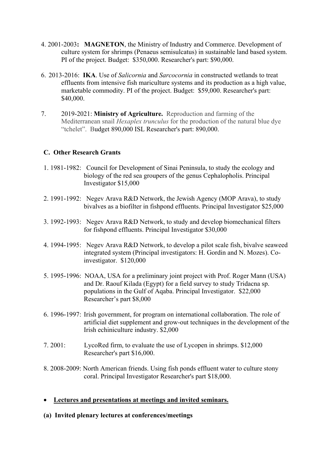- 4. 2001-2003**: MAGNETON**, the Ministry of Industry and Commerce. Development of culture system for shrimps (Penaeus semisulcatus) in sustainable land based system. PI of the project. Budget: \$350,000. Researcher's part: \$90,000.
- 6. 2013-2016: **IKA**. Use of *Salicornia* and *Sarcocornia* in constructed wetlands to treat effluents from intensive fish mariculture systems and its production as a high value, marketable commodity. PI of the project. Budget: \$59,000. Researcher's part: \$40,000.
- 7. 2019-2021: **Ministry of Agriculture.** Reproduction and farming of the Mediterranean snail *Hexaplex trunculus* for the production of the natural blue dye "tchelet". Budget 890,000 ISL Researcher's part: 890,000.

## **C. Other Research Grants**

- 1. 1981-1982: Council for Development of Sinai Peninsula, to study the ecology and biology of the red sea groupers of the genus Cephalopholis. Principal Investigator \$15,000
- 2. 1991-1992: Negev Arava R&D Network, the Jewish Agency (MOP Arava), to study bivalves as a biofilter in fishpond effluents. Principal Investigator \$25,000
- 3. 1992-1993: Negev Arava R&D Network, to study and develop biomechanical filters for fishpond effluents. Principal Investigator \$30,000
- 4. 1994-1995: Negev Arava R&D Network, to develop a pilot scale fish, bivalve seaweed integrated system (Principal investigators: H. Gordin and N. Mozes). Coinvestigator. \$120,000
- 5. 1995-1996: NOAA, USA for a preliminary joint project with Prof. Roger Mann (USA) and Dr. Raouf Kilada (Egypt) for a field survey to study Tridacna sp. populations in the Gulf of Aqaba. Principal Investigator. \$22,000 Researcher's part \$8,000
- 6. 1996-1997: Irish government, for program on international collaboration. The role of artificial diet supplement and grow-out techniques in the development of the Irish echiniculture industry. \$2,000
- 7. 2001: LycoRed firm, to evaluate the use of Lycopen in shrimps. \$12,000 Researcher's part \$16,000.
- 8. 2008-2009: North American friends. Using fish ponds effluent water to culture stony coral. Principal Investigator Researcher's part \$18,000.

## • **Lectures and presentations at meetings and invited seminars.**

**(a) Invited plenary lectures at conferences/meetings**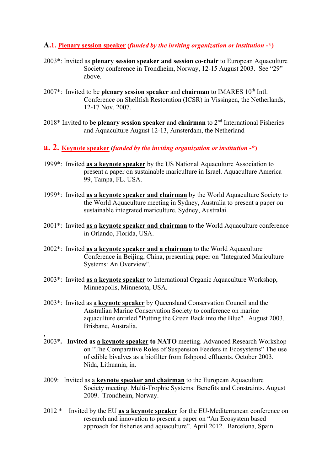#### **A.1. Plenary session speaker (***funded by the inviting organization or institution* **-\*)**

- 2003\*: Invited as **plenary session speaker and session co-chair** to European Aquaculture Society conference in Trondheim, Norway, 12-15 August 2003. See "29" above.
- 2007\*: Invited to be **plenary session speaker** and **chairman** to IMARES 10th Intl. Conference on Shellfish Restoration (ICSR) in Vissingen, the Netherlands, 12-17 Nov. 2007.
- 2018\* Invited to be **plenary session speaker** and **chairman** to 2nd International Fisheries and Aquaculture August 12-13, Amsterdam, the Netherland
- **a. 2. Keynote speaker (***funded by the inviting organization or institution* **-\*)**
- 1999\*: Invited **as a keynote speaker** by the US National Aquaculture Association to present a paper on sustainable mariculture in Israel. Aquaculture America 99, Tampa, FL. USA.
- 1999\*: Invited **as a keynote speaker and chairman** by the World Aquaculture Society to the World Aquaculture meeting in Sydney, Australia to present a paper on sustainable integrated mariculture. Sydney, Australai.
- 2001\*: Invited **as a keynote speaker and chairman** to the World Aquaculture conference in Orlando, Florida, USA.
- 2002\*: Invited **as a keynote speaker and a chairman** to the World Aquaculture Conference in Beijing, China, presenting paper on "Integrated Mariculture Systems: An Overview".
- 2003\*: Invited **as a keynote speaker** to International Organic Aquaculture Workshop, Minneapolis, Minnesota, USA.
- 2003\*: Invited as a **keynote speaker** by Queensland Conservation Council and the Australian Marine Conservation Society to conference on marine aquaculture entitled "Putting the Green Back into the Blue". August 2003. Brisbane, Australia.

,

- 2003\***. Invited as a keynote speaker to NATO** meeting. Advanced Research Workshop on "The Comparative Roles of Suspension Feeders in Ecosystems" The use of edible bivalves as a biofilter from fishpond effluents. October 2003. Nida, Lithuania, in.
- 2009: Invited as a **keynote speaker and chairman** to the European Aquaculture Society meeting. Multi-Trophic Systems: Benefits and Constraints. August 2009. Trondheim, Norway.
- 2012 \* Invited by the EU **as a keynote speaker** for the EU-Mediterranean conference on research and innovation to present a paper on "An Ecosystem based approach for fisheries and aquaculture". April 2012. Barcelona, Spain.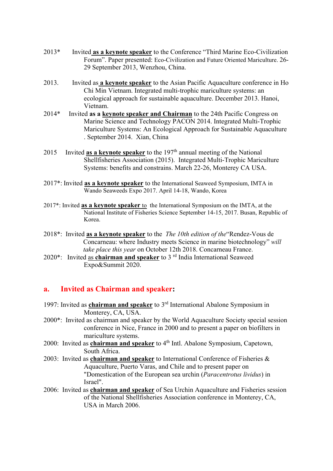- 2013\* Invited **as a keynote speaker** to the Conference "Third Marine Eco-Civilization Forum". Paper presented: Eco-Civilization and Future Oriented Mariculture. 26- 29 September 2013, Wenzhou, China.
- 2013. Invited as **a keynote speaker** to the Asian Pacific Aquaculture conference in Ho Chi Min Vietnam. Integrated multi-trophic mariculture systems: an ecological approach for sustainable aquaculture. December 2013. Hanoi, Vietnam.
- 2014\* Invited **as a keynote speaker and Chairman** to the 24th Pacific Congress on Marine Science and Technology PACON 2014. Integrated Multi-Trophic Mariculture Systems: An Ecological Approach for Sustainable Aquaculture . September 2014. Xian, China
- 2015 Invited **as a keynote speaker** to the 197<sup>th</sup> annual meeting of the National Shellfisheries Association (2015). Integrated Multi-Trophic Mariculture Systems: benefits and constrains. March 22-26, Monterey CA USA.
- 2017\*: Invited **as a keynote speaker** to the International Seaweed Symposium, IMTA in Wando Seaweeds Expo 2017. April 14-18, Wando, Korea
- 2017\*: Invited **as a keynote speaker** to the International Symposium on the IMTA, at the National Institute of Fisheries Science September 14-15, 2017. Busan, Republic of Korea.
- 2018\*: Invited **as a keynote speaker** to the *The 10th edition of the*"Rendez-Vous de Concarneau: where Industry meets Science in marine biotechnology" *will take place this year* on October 12th 2018. Concarneau France.
- 2020\*: Invited as **chairman and speaker** to 3 rd India International Seaweed Expo&Summit 2020.

## **a. Invited as Chairman and speaker:**

- 1997: Invited as **chairman and speaker** to 3rd International Abalone Symposium in Monterey, CA, USA.
- 2000\*: Invited as chairman and speaker by the World Aquaculture Society special session conference in Nice, France in 2000 and to present a paper on biofilters in mariculture systems.
- 2000: Invited as **chairman and speaker** to 4<sup>th</sup> Intl. Abalone Symposium, Capetown, South Africa.
- 2003: Invited as **chairman and speaker** to International Conference of Fisheries & Aquaculture, Puerto Varas, and Chile and to present paper on "Domestication of the European sea urchin (*Paracentrotus lividus*) in Israel".
- 2006: Invited as **chairman and speaker** of Sea Urchin Aquaculture and Fisheries session of the National Shellfisheries Association conference in Monterey, CA, USA in March 2006.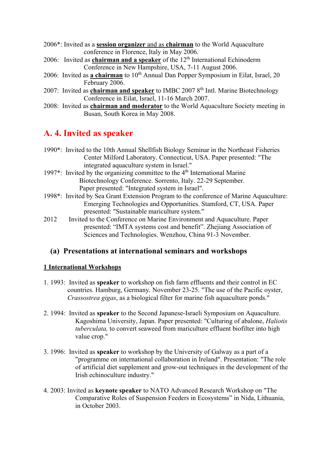- 2006\*: Invited as a **session organizer** and as **chairman** to the World Aquaculture conference in Florence, Italy in May 2006.
- 2006: Invited as **chairman and a speaker** of the 12<sup>th</sup> International Echinoderm Conference in New Hampshire, USA, 7-11 August 2006.
- 2006: Invited as **a chairman** to 10<sup>th</sup> Annual Dan Popper Symposium in Eilat, Israel, 20 February 2006.
- 2007: Invited as **chairman and speaker** to IMBC 2007 8<sup>th</sup> Intl. Marine Biotechnology Conference in Eilat, Israel, 11-16 March 2007.
- 2008: Invited as **chairman and moderator** to the World Aquaculture Society meeting in Busan, South Korea in May 2008.

# **A. 4. Invited as speaker**

|      | 1990*: Invited to the 10th Annual Shellfish Biology Seminar in the Northeast Fisheries    |
|------|-------------------------------------------------------------------------------------------|
|      | Center Milford Laboratory. Connecticut, USA. Paper presented: "The                        |
|      | integrated aquaculture system in Israel."                                                 |
|      | 1997 <sup>*</sup> : Invited by the organizing committee to the $4th$ International Marine |
|      | Biotechnology Conference. Sorrento, Italy. 22-29 September.                               |
|      | Paper presented: "Integrated system in Israel".                                           |
|      | 1998*: Invited by Sea Grant Extension Program to the conference of Marine Aquaculture:    |
|      | Emerging Technologies and Opportunities. Stamford, CT, USA. Paper                         |
|      | presented: "Sustainable mariculture system."                                              |
| 2012 | Invited to the Conference on Marine Environment and Aquaculture. Paper                    |
|      | presented: "IMTA systems cost and benefit". Zhejiang Association of                       |
|      | Sciences and Technologies. Wenzhou, China 91-3 November.                                  |

## **(a) Presentations at international seminars and workshops**

## **1 International Workshops**

- 1. 1993: Invited as **speaker** to workshop on fish farm effluents and their control in EC countries. Hamburg, Germany. November 23-25. "The use of the Pacific oyster, *Crassostrea gigas*, as a biological filter for marine fish aquaculture ponds."
- 2. 1994: Invited as **speaker** to the Second Japanese-Israeli Symposium on Aquaculture. Kagoshima University, Japan. Paper presented: "Culturing of abalone, *Haliotis tuberculata,* to convert seaweed from mariculture effluent biofilter into high value crop."
- 3. 1996: Invited as **speaker** to workshop by the University of Galway as a part of a "programme on international collaboration in Ireland". Presentation: "The role of artificial diet supplement and grow-out techniques in the development of the Irish echinoculture industry."
- 4. 2003: Invited as **keynote speaker** to NATO Advanced Research Workshop on "The Comparative Roles of Suspension Feeders in Ecosystems" in Nida, Lithuania, in October 2003.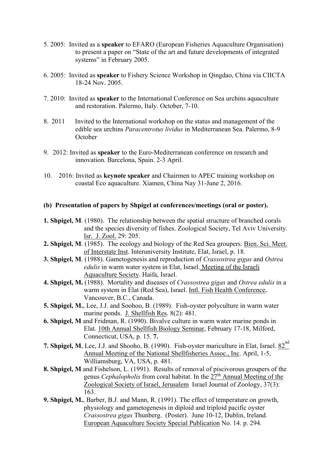- 5. 2005: Invited as a **speaker** to EFARO (European Fisheries Aquaculture Organisation) to present a paper on "State of the art and future developments of integrated systems" in February 2005.
- 6. 2005: Invited as **speaker** to Fishery Science Workshop in Qingdao, China via CIICTA 18-24 Nov. 2005.
- 7. 2010: Invited as **speaker** to the International Conference on Sea urchins aquaculture and restoration. Palermo, Italy. October, 7-10.
- 8. 2011 Invited to the International workshop on the status and management of the edible sea urchins *Paracentrotus lividus* in Mediterranean Sea. Palermo, 8-9 **October**
- 9. 2012: Invited as **speaker** to the Euro-Mediterranean conference on research and innovation. Barcelona, Spain. 2-3 April.
- 10. 2016: Invited as **keynote speaker** and Chairmen to APEC training workshop on coastal Eco aquaculture. Xiamen, China Nay 31-June 2, 2016.

#### **(b) Presentation of papers by Shpigel at conferences/meetings (oral or poster).**

- **1. Shpigel, M**. (1980). The relationship between the spatial structure of branched corals and the species diversity of fishes. Zoological Society, Tel Aviv University. Isr. J. Zool. 29: 205.
- **2. Shpigel, M**. (1985). The ecology and biology of the Red Sea groupers. Bien. Sci. Meet. of Interstate Inst. Interuniversity Institute, Elat, Israel, p. 18.
- **3. Shpigel, M**. (1988). Gametogenesis and reproduction of *Crassostrea gigas* and *Ostrea edulis* in warm water system in Elat, Israel. Meeting of the Israeli Aquaculture Society. Haifa, Israel.
- **4. Shpigel, M.** (1988). Mortality and diseases of *Crassostrea gigas* and *Ostrea edulis* in a warm system in Elat (Red Sea), Israel. Intl. Fish Health Conference, Vancouver, B.C., Canada.
- **5. Shpigel, M.**, Lee, J.J. and Soohoo, B. (1989). Fish-oyster polyculture in warm water marine ponds. J. Shellfish Res. 8(2): 481.
- **6. Shpigel, M** and Fridman, R. (1990). Bivalve culture in warm water marine ponds in Elat. 10th Annual Shellfish Biology Seminar, February 17-18, Milford, Connecticut, USA, p. 15. **7.**
- 7. Shpigel, M, Lee, J.J. and Shooho, B. (1990). Fish-oyster mariculture in Elat, Israel. 82<sup>nd</sup> Annual Meeting of the National Shellfisheries Assoc., Inc. April, 1-5, Williamsburg, VA, USA, p. 481.
- **8. Shpigel, M** and Fishelson, L. (1991). Results of removal of piscivorous groupers of the genus *Cephalopholis* from coral habitat. In the  $27<sup>th</sup>$  Annual Meeting of the Zoological Society of Israel, Jerusalem Israel Journal of Zoology, 37(3): 163.
- **9. Shpigel, M.**, Barber, B.J. and Mann, R. (1991). The effect of temperature on growth, physiology and gametogenesis in diploid and triploid pacific oyster *Crassostrea gigas* Thunberg. (Poster). June 10-12, Dublin, Ireland. European Aquaculture Society Special Publication No. 14. p. 294.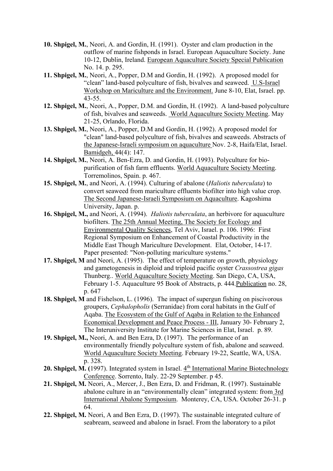- **10. Shpigel, M.**, Neori, A. and Gordin, H. (1991). Oyster and clam production in the outflow of marine fishponds in Israel. European Aquaculture Society. June 10-12, Dublin, Ireland. European Aquaculture Society Special Publication No. 14. p. 295.
- **11. Shpigel, M.**, Neori, A., Popper, D.M and Gordin, H. (1992). A proposed model for "clean" land-based polyculture of fish, bivalves and seaweed. U.S-Israel Workshop on Mariculture and the Environment. June 8-10, Elat, Israel. pp. 43-55.
- **12. Shpigel, M.**, Neori, A., Popper, D.M. and Gordin, H. (1992). A land-based polyculture of fish, bivalves and seaweeds. World Aquaculture Society Meeting. May 21-25, Orlando, Florida.
- **13. Shpigel, M.**, Neori, A., Popper, D.M and Gordin, H. (1992). A proposed model for "clean" land-based polyculture of fish, bivalves and seaweeds. Abstracts of the Japanese-Israeli symposium on aquaculture Nov. 2-8, Haifa/Elat, Israel. Bamidgeh, 44(4): 147.
- **14. Shpigel, M.**, Neori, A. Ben-Ezra, D. and Gordin, H. (1993). Polyculture for biopurification of fish farm effluents. World Aquaculture Society Meeting. Torremolinos, Spain. p. 467.
- **15. Shpigel, M.**, and Neori, A. (1994). Culturing of abalone (*Haliotis tuberculata*) to convert seaweed from mariculture effluents biofilter into high value crop. The Second Japanese-Israeli Symposium on Aquaculture. Kagoshima University, Japan. p.
- **16. Shpigel, M.,** and Neori, A. (1994). *Haliotis tuberculata*, an herbivore for aquaculture biofilters. The 25th Annual Meeting, The Society for Ecology and Environmental Quality Sciences, Tel Aviv, Israel. p. 106. 1996: First Regional Symposium on Enhancement of Coastal Productivity in the Middle East Though Mariculture Development. Elat, October, 14-17. Paper presented: "Non-polluting mariculture systems."
- **17. Shpigel, M** and Neori, A. (1995). The effect of temperature on growth, physiology and gametogenesis in diploid and triploid pacific oyster *Crassostrea gigas* Thunberg.. World Aquaculture Society Meeting. San Diego, CA, USA, February 1-5. Aquaculture 95 Book of Abstracts, p. 444.Publication no. 28, p. 647
- **18. Shpigel, M** and Fishelson, L. (1996). The impact of supergun fishing on piscivorous groupers, *Cephalopholis* (Serranidae) from coral habitats in the Gulf of Aqaba. The Ecosystem of the Gulf of Aqaba in Relation to the Enhanced Economical Development and Peace Process - III, January 30- February 2, The Interuniversity Institute for Marine Sciences in Elat, Israel. p. 89.
- **19. Shpigel, M.,** Neori, A. and Ben Ezra, D. (1997). The performance of an environmentally friendly polyculture system of fish, abalone and seaweed. World Aquaculture Society Meeting. February 19-22, Seattle, WA, USA. p. 328.
- 20. Shpigel, M. (1997). Integrated system in Israel. 4<sup>th</sup> International Marine Biotechnology Conference. Sorrento, Italy. 22-29 September. p 45.
- **21. Shpigel, M.** Neori, A., Mercer, J., Ben Ezra, D. and Fridman, R. (1997). Sustainable abalone culture in an "environmentally clean" integrated system: from 3rd International Abalone Symposium. Monterey, CA, USA. October 26-31. p 64.
- **22. Shpigel, M.** Neori, A and Ben Ezra, D. (1997). The sustainable integrated culture of seabream, seaweed and abalone in Israel. From the laboratory to a pilot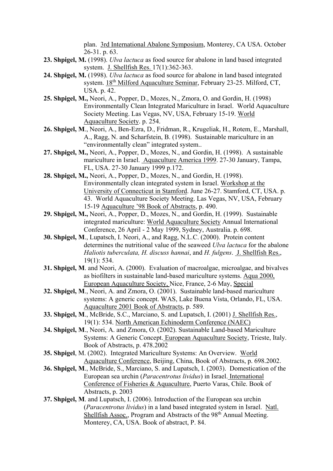plan. 3rd International Abalone Symposium, Monterey, CA USA. October 26-31. p. 63.

- **23. Shpigel, M.** (1998). *Ulva lactuca* as food source for abalone in land based integrated system. J. Shellfish Res. 17(1):362-363.
- **24. Shpigel, M.** (1998). *Ulva lactuca* as food source for abalone in land based integrated system. 18th Milford Aquaculture Seminar, February 23-25. Milford, CT, USA. p. 42.
- **25. Shpigel, M.,** Neori, A., Popper, D., Mozes, N., Zmora, O. and Gordin, H. (1998) Environmentally Clean Integrated Mariculture in Israel. World Aquaculture Society Meeting. Las Vegas, NV, USA, February 15-19. World Aquaculture Society. p. 254.
- **26. Shpigel, M**., Neori, A., Ben-Ezra, D., Fridman, R., Krugeliak, H., Rotem, E., Marshall, A., Ragg, N. and Scharfstein, B. (1998). Sustainable mariculture in an "environmentally clean" integrated system..
- **27. Shpigel, M.,** Neori, A., Popper, D., Mozes, N., and Gordin, H. (1998). A sustainable mariculture in Israel. Aquaculture America 1999. 27-30 January, Tampa, FL, USA. 27-30 January 1999 p.172.
- **28. Shpigel, M.,** Neori, A., Popper, D., Mozes, N., and Gordin, H. (1998). Environmentally clean integrated system in Israel. Workshop at the University of Connecticut in Stamford. June 26-27. Stamford, CT, USA. p. 43. World Aquaculture Society Meeting. Las Vegas, NV, USA, February 15-19 Aquaculture '98 Book of Abstracts, p. 490.
- **29. Shpigel, M.,** Neori, A., Popper, D., Mozes, N., and Gordin, H. (1999). Sustainable integrated mariculture: World Aquaculture Society Annual International Conference, 26 April - 2 May 1999, Sydney, Australia. p. 698.
- **30. Shpigel, M**., Lupatsch, I. Neori, A., and Ragg, N.L.C. (2000). Protein content determines the nutritional value of the seaweed *Ulva lactuca* for the abalone *Haliotis tuberculata, H. discuss hannai*, and *H. fulgens*. J. Shellfish Res., 19(1): 534.
- **31. Shpigel, M**. and Neori, A. (2000). Evaluation of macroalgae, microalgae, and bivalves as biofilters in sustainable land-based mariculture systems. Aqua 2000, European Aquaculture Society, Nice, France, 2-6 May, Special
- **32. Shpigel, M**., Neori, A. and Zmora, O. (2001). Sustainable land-based mariculture systems: A generic concept. WAS, Lake Buena Vista, Orlando, FL, USA. Aquaculture 2001 Book of Abstracts, p. 589.
- **33. Shpigel, M**., McBride, S.C., Marciano, S. and Lupatsch, I. (2001) J. Shellfish Res., 19(1): 534. North American Echinoderm Conference (NAEC)
- **34. Shpigel, M**., Neori, A. and Zmora, O. (2002). Sustainable Land-based Mariculture Systems: A Generic Concept. European Aquaculture Society, Trieste, Italy. Book of Abstracts, p. 478.2002
- **35. Shpigel**, M. (2002). Integrated Mariculture Systems: An Overview. World Aquaculture Conference, Beijing, China, Book of Abstracts, p. 698.2002.
- **36. Shpigel, M**., McBride, S., Marciano, S. and Lupatsch, I. (2003). Domestication of the European sea urchin (*Paracentrotus lividus*) in Israel. International Conference of Fisheries & Aquaculture, Puerto Varas, Chile. Book of Abstracts, p. 2003
- **37. Shpigel, M**. and Lupatsch, I. (2006). Introduction of the European sea urchin (*Paracentrotus lividus*) in a land based integrated system in Israel. Natl. Shellfish Assoc., Program and Abstracts of the  $98<sup>th</sup>$  Annual Meeting. Monterey, CA, USA. Book of abstract, P. 84.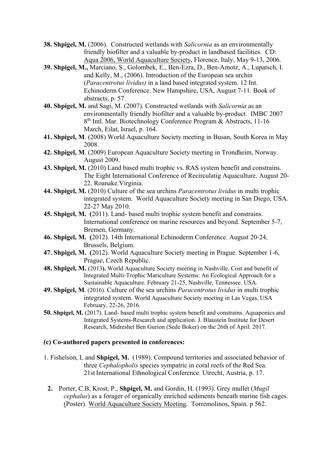- **38. Shpigel, M.** (2006). Constructed wetlands with *Salicornia* as an environmentally friendly biofilter and a valuable by-product in landbased facilities. CD: Aqua 2006, World Aquaculture Society, Florence, Italy, May 9-13, 2006.
- **39. Shpigel, M.,** Marciano, S., Golombek, E., Ben-Ezra, D., Ben-Amotz, A., Lupatsch, I. and Kelly, M., (2006). Introduction of the European sea urchin (*Paracentrotus lividus)* in a land based integrated system. 12 Int. Echinoderm Conference. New Hampshire, USA, August 7-11. Book of abstracts, p. 57.
- **40. Shpigel, M.** and Sagi, M. (2007). Constructed wetlands with *Salicornia* as an environmentally friendly biofilter and a valuable by-product. IMBC 2007 8th Intl. Mar. Biotechnology Conference Program & Abstracts, 11-16 March, Eilat, Israel, p. 164.
- **41. Shpigel, M**. (2008) World Aquaculture Society meeting in Busan, South Korea in May 2008.
- **42. Shpigel, M**. (2009) European Aquaculture Society meeting in Trondheim, Norway. August 2009.
- **43. Shpigel, M.** (2010) Land based multi trophic vs. RAS system benefit and constrains. The Eight International Conference of Recirculatig Aquaculture. August 20- 22. Roanake.Virginia.
- **44. Shpigel, M.** (2010) Culture of the sea urchins *Paracentrotus lividus* in multi trophic integrated system. World Aquaculture Society meeting in San Diego, USA. 22-27 May 2010.
- **45. Shpigel, M. (**2011). Land- based multi trophic system benefit and constrains. International conference on marine resources and beyond. September 5-7, Bremen, Germany.
- **46. Shpigel, M. (**2012). 14th International Echinoderm Conference. August 20-24, Brussels, Belgium.
- **47. Shpigel, M. (**2012). World Aquaculture Society meeting in Prague. September 1-6, Prague, Czech Republic.
- **48. Shpigel, M.** (2013**).** World Aquaculture Society meeting in Nashville. Cost and benefit of Integrated Multi-Trophic Mariculture Systems: An Ecological Approach for a Sustainable Aquaculture. February 21-25, Nashville, Tennessee. USA.
- **49. Shpigel, M**. (2016). Culture of the sea urchins *Paracentrotus lividus* in multi trophic integrated system. World Aquaculture Society meeting in Las Vegas, USA February, 22-26, 2016.
- **50. Shpigel, M.** (2017). Land- based multi trophic system benefit and constrains. Aquaponics and Integrated Systems-Research and application. J. Blaustein Institute for Desert Research, Midreshet Ben Gurion (Sede Boker) on the 26th of April. 2017.

#### **(c) Co-authored papers presented in conferences:**

- 1. Fishelson, L and **Shpigel, M.** (1989). Compound territories and associated behavior of three *Cephalopholis* species sympatric in coral reefs of the Red Sea. 21st International Ethnological Conference. Utrecht, Austria, p. 17.
- **2.** Porter, C.B, Krost, P., **Shpigel, M.** and Gordin, H. (1993). Grey mullet (*Mugil cephalus*) as a forager of organically enriched sediments beneath marine fish cages. (Poster). World Aquaculture Society Meeting. Torremolinos, Spain. p 562.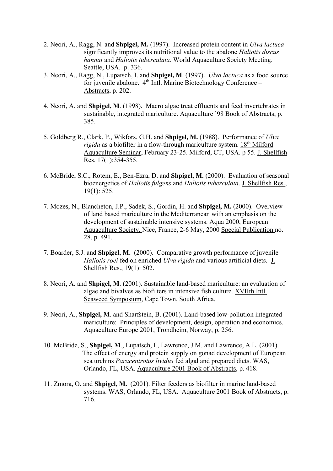- 2. Neori, A., Ragg, N. and **Shpigel, M.** (1997). Increased protein content in *Ulva lactuca*  significantly improves its nutritional value to the abalone *Haliotis discus hannai* and *Haliotis tuberculata.* World Aquaculture Society Meeting. Seattle, USA. p. 336.
- 3. Neori, A., Ragg, N., Lupatsch, I. and **Shpigel, M**. (1997). *Ulva lactuca* as a food source for iuvenile abalone. 4<sup>th</sup> Intl. Marine Biotechnology Conference – Abstracts, p. 202.
- 4. Neori, A. and **Shpigel, M**. (1998). Macro algae treat effluents and feed invertebrates in sustainable, integrated mariculture. Aquaculture '98 Book of Abstracts, p. 385.
- 5. Goldberg R., Clark, P., Wikfors, G.H. and **Shpigel, M.** (1988). Performance of *Ulva rigida* as a biofilter in a flow-through mariculture system. 18<sup>th</sup> Milford Aquaculture Seminar, February 23-25. Milford, CT, USA. p 55. J. Shellfish Res. 17(1):354-355.
- 6. McBride, S.C., Rotem, E., Ben-Ezra, D. and **Shpigel, M.** (2000). Evaluation of seasonal bioenergetics of *Haliotis fulgens* and *Haliotis tuberculata*. J. Shellfish Res., 19(1): 525.
- 7. Mozes, N., Blancheton, J.P., Sadek, S., Gordin, H. and **Shpigel, M.** (2000). Overview of land based mariculture in the Mediterranean with an emphasis on the development of sustainable intensive systems. Aqua 2000, European Aquaculture Society, Nice, France, 2-6 May, 2000 Special Publication no. 28, p. 491.
- 7. Boarder, S.J. and **Shpigel, M.** (2000). Comparative growth performance of juvenile *Haliotis roei* fed on enriched *Ulva rigida* and various artificial diets. J. Shellfish Res., 19(1): 502.
- 8. Neori, A. and **Shpigel, M**. (2001). Sustainable land-based mariculture: an evaluation of algae and bivalves as biofilters in intensive fish culture. XVIIth Intl. Seaweed Symposium, Cape Town, South Africa.
- 9. Neori, A., **Shpigel, M**. and Sharfstein, B. (2001). Land-based low-pollution integrated mariculture: Principles of development, design, operation and economics. Aquaculture Europe 2001, Trondheim, Norway, p. 256.
- 10. McBride, S., **Shpigel, M**., Lupatsch, I., Lawrence, J.M. and Lawrence, A.L. (2001). The effect of energy and protein supply on gonad development of European sea urchins *Paracentrotus lividus* fed algal and prepared diets. WAS, Orlando, FL, USA. Aquaculture 2001 Book of Abstracts, p. 418.
- 11. Zmora, O. and **Shpigel, M.** (2001). Filter feeders as biofilter in marine land-based systems. WAS, Orlando, FL, USA. Aquaculture 2001 Book of Abstracts, p. 716.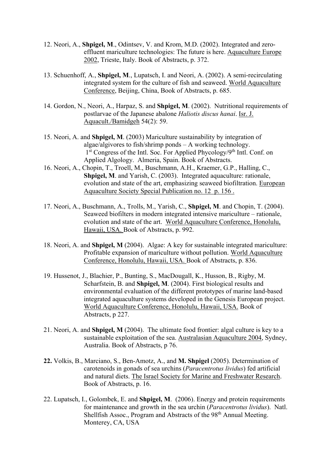- 12. Neori, A., **Shpigel, M**., Odintsev, V. and Krom, M.D. (2002). Integrated and zeroeffluent mariculture technologies: The future is here. Aquaculture Europe 2002, Trieste, Italy. Book of Abstracts, p. 372.
- 13. Schuenhoff, A., **Shpigel, M**., Lupatsch, I. and Neori, A. (2002). A semi-recirculating integrated system for the culture of fish and seaweed. World Aquaculture Conference, Beijing, China, Book of Abstracts, p. 685.
- 14. Gordon, N., Neori, A., Harpaz, S. and **Shpigel, M**. (2002). Nutritional requirements of postlarvae of the Japanese abalone *Haliotis discus hanai*. Isr. J. Aquacult./Bamidgeh 54(2): 59.
- 15. Neori, A. and **Shpigel, M**. (2003) Mariculture sustainability by integration of algae/algivores to fish/shrimp ponds – A working technology. 1<sup>st</sup> Congress of the Intl. Soc. For Applied Phycology/9<sup>th</sup> Intl. Conf. on Applied Algology. Almeria, Spain. Book of Abstracts.
- 16. Neori, A., Chopin, T., Troell, M., Buschmann, A.H., Kraemer, G.P., Halling, C., **Shpigel, M**. and Yarish, C. (2003). Integrated aquaculture: rationale, evolution and state of the art, emphasizing seaweed biofiltration. European Aquaculture Society Special Publication no. 12 p. 156 .
- 17. Neori, A., Buschmann, A., Trolls, M., Yarish, C., **Shpigel, M**. and Chopin, T. (2004). Seaweed biofilters in modern integrated intensive mariculture – rationale, evolution and state of the art. World Aquaculture Conference, Honolulu, Hawaii, USA. Book of Abstracts, p. 992.
- 18. Neori, A. and **Shpigel, M** (2004). Algae: A key for sustainable integrated mariculture: Profitable expansion of mariculture without pollution. World Aquaculture Conference, Honolulu, Hawaii, USA. Book of Abstracts, p. 836.
- 19. Hussenot, J., Blachier, P., Bunting, S., MacDougall, K., Husson, B., Rigby, M. Scharfstein, B. and **Shpigel, M**. (2004). First biological results and environmental evaluation of the different prototypes of marine land-based integrated aquaculture systems developed in the Genesis European project. World Aquaculture Conference, Honolulu, Hawaii, USA. Book of Abstracts, p 227.
- 21. Neori, A. and **Shpigel, M** (2004). The ultimate food frontier: algal culture is key to a sustainable exploitation of the sea. Australasian Aquaculture 2004, Sydney, Australia. Book of Abstracts, p 76.
- **22.** Volkis, B., Marciano, S., Ben-Amotz, A., and **M. Shpigel** (2005). Determination of carotenoids in gonads of sea urchins (*Paracentrotus lividus*) fed artificial and natural diets. The Israel Society for Marine and Freshwater Research. Book of Abstracts, p. 16.
- 22. Lupatsch, I., Golombek, E. and **Shpigel, M**. (2006). Energy and protein requirements for maintenance and growth in the sea urchin (*Paracentrotus lividus*). Natl. Shellfish Assoc., Program and Abstracts of the 98<sup>th</sup> Annual Meeting. Monterey, CA, USA